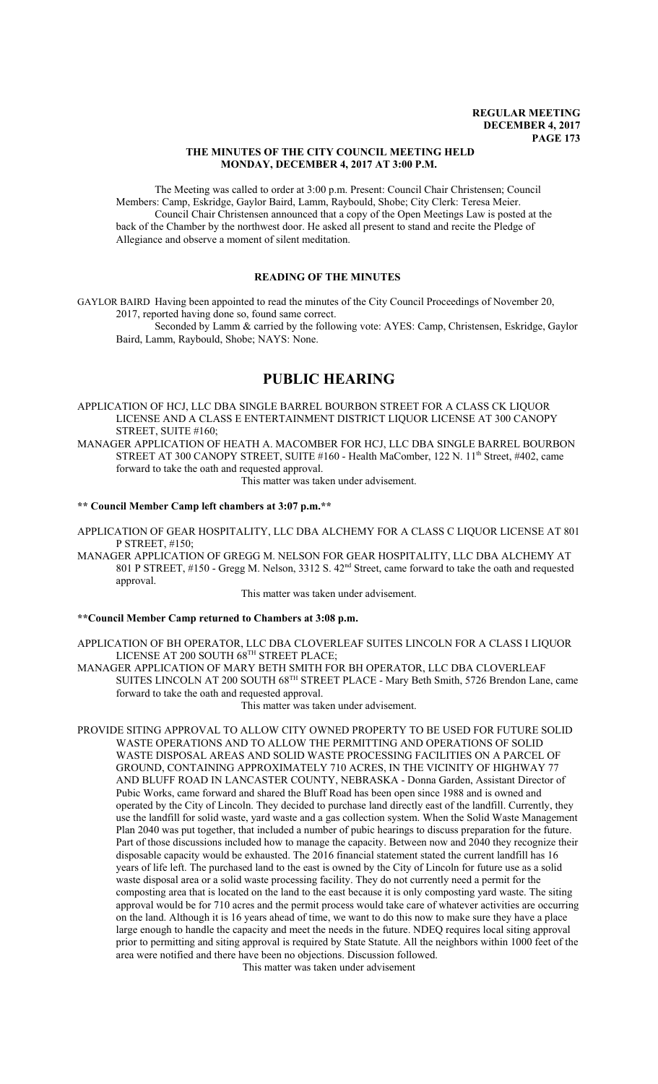## **THE MINUTES OF THE CITY COUNCIL MEETING HELD MONDAY, DECEMBER 4, 2017 AT 3:00 P.M.**

The Meeting was called to order at 3:00 p.m. Present: Council Chair Christensen; Council Members: Camp, Eskridge, Gaylor Baird, Lamm, Raybould, Shobe; City Clerk: Teresa Meier. Council Chair Christensen announced that a copy of the Open Meetings Law is posted at the back of the Chamber by the northwest door. He asked all present to stand and recite the Pledge of Allegiance and observe a moment of silent meditation.

# **READING OF THE MINUTES**

GAYLOR BAIRD Having been appointed to read the minutes of the City Council Proceedings of November 20, 2017, reported having done so, found same correct.

Seconded by Lamm & carried by the following vote: AYES: Camp, Christensen, Eskridge, Gaylor Baird, Lamm, Raybould, Shobe; NAYS: None.

# **PUBLIC HEARING**

APPLICATION OF HCJ, LLC DBA SINGLE BARREL BOURBON STREET FOR A CLASS CK LIQUOR LICENSE AND A CLASS E ENTERTAINMENT DISTRICT LIQUOR LICENSE AT 300 CANOPY STREET, SUITE #160;

MANAGER APPLICATION OF HEATH A. MACOMBER FOR HCJ, LLC DBA SINGLE BARREL BOURBON STREET AT 300 CANOPY STREET, SUITE #160 - Health MaComber, 122 N. 11<sup>th</sup> Street, #402, came forward to take the oath and requested approval. This matter was taken under advisement.

#### **\*\* Council Member Camp left chambers at 3:07 p.m.\*\***

APPLICATION OF GEAR HOSPITALITY, LLC DBA ALCHEMY FOR A CLASS C LIQUOR LICENSE AT 801 P STREET, #150;

MANAGER APPLICATION OF GREGG M. NELSON FOR GEAR HOSPITALITY, LLC DBA ALCHEMY AT 801 P STREET, #150 - Gregg M. Nelson, 3312 S. 42nd Street, came forward to take the oath and requested approval.

This matter was taken under advisement.

## **\*\*Council Member Camp returned to Chambers at 3:08 p.m.**

APPLICATION OF BH OPERATOR, LLC DBA CLOVERLEAF SUITES LINCOLN FOR A CLASS I LIQUOR LICENSE AT 200 SOUTH 68TH STREET PLACE;

MANAGER APPLICATION OF MARY BETH SMITH FOR BH OPERATOR, LLC DBA CLOVERLEAF SUITES LINCOLN AT 200 SOUTH 68TH STREET PLACE - Mary Beth Smith, 5726 Brendon Lane, came forward to take the oath and requested approval.

This matter was taken under advisement.

PROVIDE SITING APPROVAL TO ALLOW CITY OWNED PROPERTY TO BE USED FOR FUTURE SOLID WASTE OPERATIONS AND TO ALLOW THE PERMITTING AND OPERATIONS OF SOLID WASTE DISPOSAL AREAS AND SOLID WASTE PROCESSING FACILITIES ON A PARCEL OF GROUND, CONTAINING APPROXIMATELY 710 ACRES, IN THE VICINITY OF HIGHWAY 77 AND BLUFF ROAD IN LANCASTER COUNTY, NEBRASKA - Donna Garden, Assistant Director of Pubic Works, came forward and shared the Bluff Road has been open since 1988 and is owned and operated by the City of Lincoln. They decided to purchase land directly east of the landfill. Currently, they use the landfill for solid waste, yard waste and a gas collection system. When the Solid Waste Management Plan 2040 was put together, that included a number of pubic hearings to discuss preparation for the future. Part of those discussions included how to manage the capacity. Between now and 2040 they recognize their disposable capacity would be exhausted. The 2016 financial statement stated the current landfill has 16 years of life left. The purchased land to the east is owned by the City of Lincoln for future use as a solid waste disposal area or a solid waste processing facility. They do not currently need a permit for the composting area that is located on the land to the east because it is only composting yard waste. The siting approval would be for 710 acres and the permit process would take care of whatever activities are occurring on the land. Although it is 16 years ahead of time, we want to do this now to make sure they have a place large enough to handle the capacity and meet the needs in the future. NDEQ requires local siting approval prior to permitting and siting approval is required by State Statute. All the neighbors within 1000 feet of the area were notified and there have been no objections. Discussion followed.

This matter was taken under advisement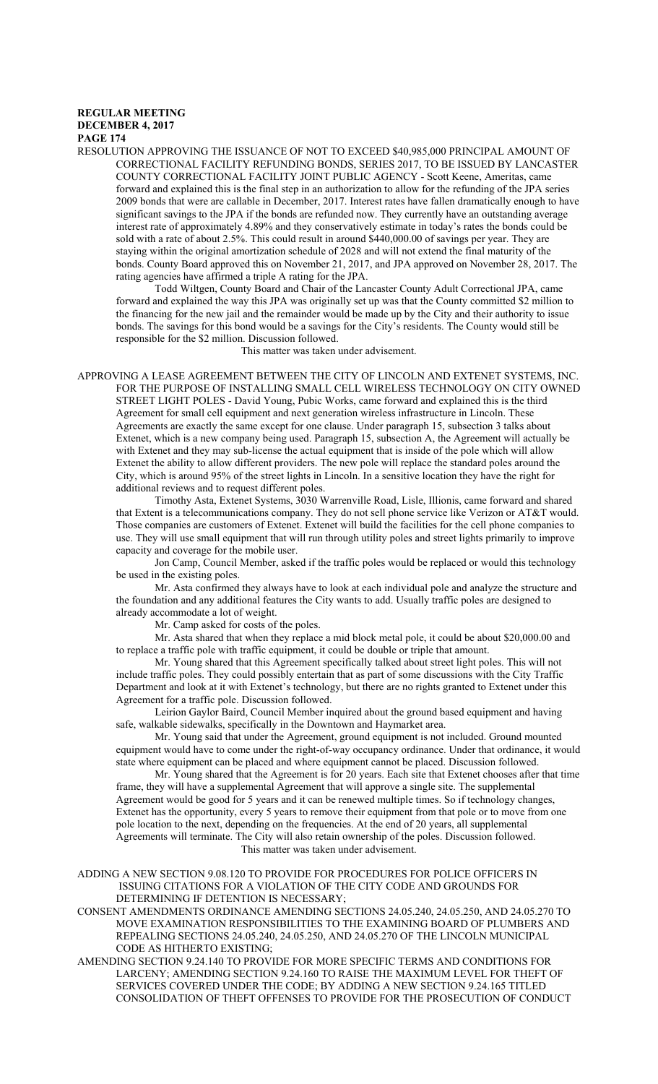RESOLUTION APPROVING THE ISSUANCE OF NOT TO EXCEED \$40,985,000 PRINCIPAL AMOUNT OF CORRECTIONAL FACILITY REFUNDING BONDS, SERIES 2017, TO BE ISSUED BY LANCASTER COUNTY CORRECTIONAL FACILITY JOINT PUBLIC AGENCY - Scott Keene, Ameritas, came forward and explained this is the final step in an authorization to allow for the refunding of the JPA series 2009 bonds that were are callable in December, 2017. Interest rates have fallen dramatically enough to have significant savings to the JPA if the bonds are refunded now. They currently have an outstanding average interest rate of approximately 4.89% and they conservatively estimate in today's rates the bonds could be sold with a rate of about 2.5%. This could result in around \$440,000.00 of savings per year. They are staying within the original amortization schedule of 2028 and will not extend the final maturity of the bonds. County Board approved this on November 21, 2017, and JPA approved on November 28, 2017. The rating agencies have affirmed a triple A rating for the JPA.

Todd Wiltgen, County Board and Chair of the Lancaster County Adult Correctional JPA, came forward and explained the way this JPA was originally set up was that the County committed \$2 million to the financing for the new jail and the remainder would be made up by the City and their authority to issue bonds. The savings for this bond would be a savings for the City's residents. The County would still be responsible for the \$2 million. Discussion followed.

This matter was taken under advisement.

APPROVING A LEASE AGREEMENT BETWEEN THE CITY OF LINCOLN AND EXTENET SYSTEMS, INC. FOR THE PURPOSE OF INSTALLING SMALL CELL WIRELESS TECHNOLOGY ON CITY OWNED STREET LIGHT POLES - David Young, Pubic Works, came forward and explained this is the third Agreement for small cell equipment and next generation wireless infrastructure in Lincoln. These Agreements are exactly the same except for one clause. Under paragraph 15, subsection 3 talks about Extenet, which is a new company being used. Paragraph 15, subsection A, the Agreement will actually be with Extenet and they may sub-license the actual equipment that is inside of the pole which will allow Extenet the ability to allow different providers. The new pole will replace the standard poles around the City, which is around 95% of the street lights in Lincoln. In a sensitive location they have the right for additional reviews and to request different poles.

Timothy Asta, Extenet Systems, 3030 Warrenville Road, Lisle, Illionis, came forward and shared that Extent is a telecommunications company. They do not sell phone service like Verizon or AT&T would. Those companies are customers of Extenet. Extenet will build the facilities for the cell phone companies to use. They will use small equipment that will run through utility poles and street lights primarily to improve capacity and coverage for the mobile user.

Jon Camp, Council Member, asked if the traffic poles would be replaced or would this technology be used in the existing poles.

Mr. Asta confirmed they always have to look at each individual pole and analyze the structure and the foundation and any additional features the City wants to add. Usually traffic poles are designed to already accommodate a lot of weight.

Mr. Camp asked for costs of the poles.

Mr. Asta shared that when they replace a mid block metal pole, it could be about \$20,000.00 and to replace a traffic pole with traffic equipment, it could be double or triple that amount.

Mr. Young shared that this Agreement specifically talked about street light poles. This will not include traffic poles. They could possibly entertain that as part of some discussions with the City Traffic Department and look at it with Extenet's technology, but there are no rights granted to Extenet under this Agreement for a traffic pole. Discussion followed.

Leirion Gaylor Baird, Council Member inquired about the ground based equipment and having safe, walkable sidewalks, specifically in the Downtown and Haymarket area.

Mr. Young said that under the Agreement, ground equipment is not included. Ground mounted equipment would have to come under the right-of-way occupancy ordinance. Under that ordinance, it would state where equipment can be placed and where equipment cannot be placed. Discussion followed.

Mr. Young shared that the Agreement is for 20 years. Each site that Extenet chooses after that time frame, they will have a supplemental Agreement that will approve a single site. The supplemental Agreement would be good for 5 years and it can be renewed multiple times. So if technology changes, Extenet has the opportunity, every 5 years to remove their equipment from that pole or to move from one pole location to the next, depending on the frequencies. At the end of 20 years, all supplemental Agreements will terminate. The City will also retain ownership of the poles. Discussion followed. This matter was taken under advisement.

ADDING A NEW SECTION 9.08.120 TO PROVIDE FOR PROCEDURES FOR POLICE OFFICERS IN ISSUING CITATIONS FOR A VIOLATION OF THE CITY CODE AND GROUNDS FOR DETERMINING IF DETENTION IS NECESSARY;

CONSENT AMENDMENTS ORDINANCE AMENDING SECTIONS 24.05.240, 24.05.250, AND 24.05.270 TO MOVE EXAMINATION RESPONSIBILITIES TO THE EXAMINING BOARD OF PLUMBERS AND REPEALING SECTIONS 24.05.240, 24.05.250, AND 24.05.270 OF THE LINCOLN MUNICIPAL CODE AS HITHERTO EXISTING;

AMENDING SECTION 9.24.140 TO PROVIDE FOR MORE SPECIFIC TERMS AND CONDITIONS FOR LARCENY; AMENDING SECTION 9.24.160 TO RAISE THE MAXIMUM LEVEL FOR THEFT OF SERVICES COVERED UNDER THE CODE; BY ADDING A NEW SECTION 9.24.165 TITLED CONSOLIDATION OF THEFT OFFENSES TO PROVIDE FOR THE PROSECUTION OF CONDUCT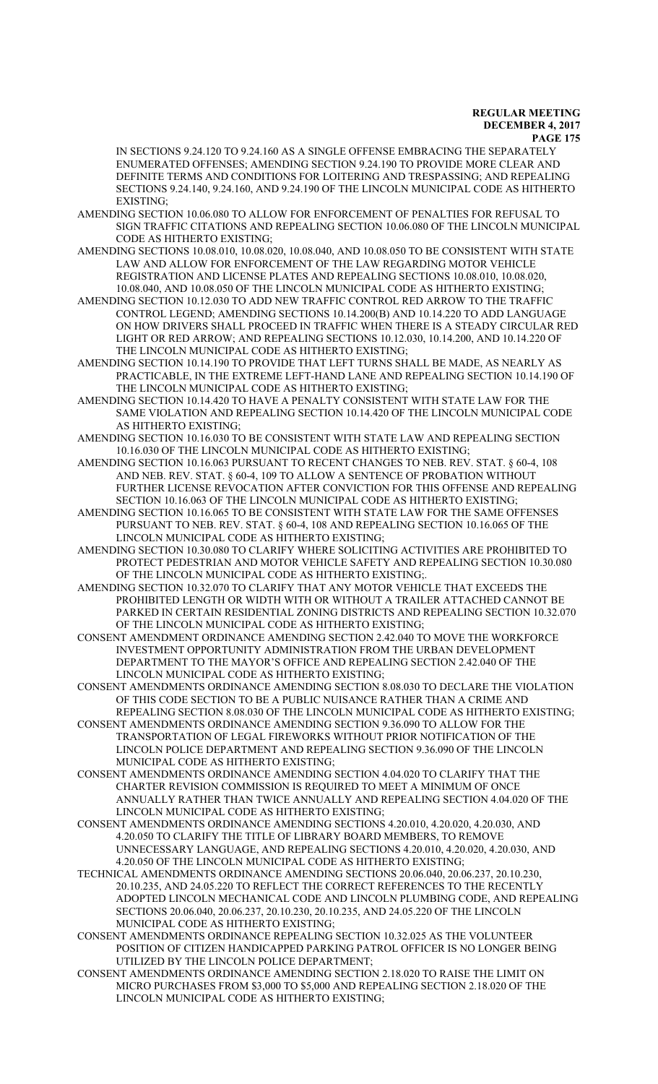IN SECTIONS 9.24.120 TO 9.24.160 AS A SINGLE OFFENSE EMBRACING THE SEPARATELY ENUMERATED OFFENSES; AMENDING SECTION 9.24.190 TO PROVIDE MORE CLEAR AND DEFINITE TERMS AND CONDITIONS FOR LOITERING AND TRESPASSING; AND REPEALING SECTIONS 9.24.140, 9.24.160, AND 9.24.190 OF THE LINCOLN MUNICIPAL CODE AS HITHERTO EXISTING;

AMENDING SECTION 10.06.080 TO ALLOW FOR ENFORCEMENT OF PENALTIES FOR REFUSAL TO SIGN TRAFFIC CITATIONS AND REPEALING SECTION 10.06.080 OF THE LINCOLN MUNICIPAL CODE AS HITHERTO EXISTING;

AMENDING SECTIONS 10.08.010, 10.08.020, 10.08.040, AND 10.08.050 TO BE CONSISTENT WITH STATE LAW AND ALLOW FOR ENFORCEMENT OF THE LAW REGARDING MOTOR VEHICLE REGISTRATION AND LICENSE PLATES AND REPEALING SECTIONS 10.08.010, 10.08.020, 10.08.040, AND 10.08.050 OF THE LINCOLN MUNICIPAL CODE AS HITHERTO EXISTING;

AMENDING SECTION 10.12.030 TO ADD NEW TRAFFIC CONTROL RED ARROW TO THE TRAFFIC CONTROL LEGEND; AMENDING SECTIONS 10.14.200(B) AND 10.14.220 TO ADD LANGUAGE ON HOW DRIVERS SHALL PROCEED IN TRAFFIC WHEN THERE IS A STEADY CIRCULAR RED LIGHT OR RED ARROW; AND REPEALING SECTIONS 10.12.030, 10.14.200, AND 10.14.220 OF THE LINCOLN MUNICIPAL CODE AS HITHERTO EXISTING;

AMENDING SECTION 10.14.190 TO PROVIDE THAT LEFT TURNS SHALL BE MADE, AS NEARLY AS PRACTICABLE, IN THE EXTREME LEFT-HAND LANE AND REPEALING SECTION 10.14.190 OF THE LINCOLN MUNICIPAL CODE AS HITHERTO EXISTING;

AMENDING SECTION 10.14.420 TO HAVE A PENALTY CONSISTENT WITH STATE LAW FOR THE SAME VIOLATION AND REPEALING SECTION 10.14.420 OF THE LINCOLN MUNICIPAL CODE AS HITHERTO EXISTING;

AMENDING SECTION 10.16.030 TO BE CONSISTENT WITH STATE LAW AND REPEALING SECTION 10.16.030 OF THE LINCOLN MUNICIPAL CODE AS HITHERTO EXISTING;

AMENDING SECTION 10.16.063 PURSUANT TO RECENT CHANGES TO NEB. REV. STAT. § 60-4, 108 AND NEB. REV. STAT. § 60-4, 109 TO ALLOW A SENTENCE OF PROBATION WITHOUT FURTHER LICENSE REVOCATION AFTER CONVICTION FOR THIS OFFENSE AND REPEALING SECTION 10.16.063 OF THE LINCOLN MUNICIPAL CODE AS HITHERTO EXISTING;

AMENDING SECTION 10.16.065 TO BE CONSISTENT WITH STATE LAW FOR THE SAME OFFENSES PURSUANT TO NEB. REV. STAT. § 60-4, 108 AND REPEALING SECTION 10.16.065 OF THE LINCOLN MUNICIPAL CODE AS HITHERTO EXISTING;

AMENDING SECTION 10.30.080 TO CLARIFY WHERE SOLICITING ACTIVITIES ARE PROHIBITED TO PROTECT PEDESTRIAN AND MOTOR VEHICLE SAFETY AND REPEALING SECTION 10.30.080 OF THE LINCOLN MUNICIPAL CODE AS HITHERTO EXISTING;.

AMENDING SECTION 10.32.070 TO CLARIFY THAT ANY MOTOR VEHICLE THAT EXCEEDS THE PROHIBITED LENGTH OR WIDTH WITH OR WITHOUT A TRAILER ATTACHED CANNOT BE PARKED IN CERTAIN RESIDENTIAL ZONING DISTRICTS AND REPEALING SECTION 10.32.070 OF THE LINCOLN MUNICIPAL CODE AS HITHERTO EXISTING;

CONSENT AMENDMENT ORDINANCE AMENDING SECTION 2.42.040 TO MOVE THE WORKFORCE INVESTMENT OPPORTUNITY ADMINISTRATION FROM THE URBAN DEVELOPMENT DEPARTMENT TO THE MAYOR'S OFFICE AND REPEALING SECTION 2.42.040 OF THE LINCOLN MUNICIPAL CODE AS HITHERTO EXISTING;

CONSENT AMENDMENTS ORDINANCE AMENDING SECTION 8.08.030 TO DECLARE THE VIOLATION OF THIS CODE SECTION TO BE A PUBLIC NUISANCE RATHER THAN A CRIME AND REPEALING SECTION 8.08.030 OF THE LINCOLN MUNICIPAL CODE AS HITHERTO EXISTING;

CONSENT AMENDMENTS ORDINANCE AMENDING SECTION 9.36.090 TO ALLOW FOR THE TRANSPORTATION OF LEGAL FIREWORKS WITHOUT PRIOR NOTIFICATION OF THE LINCOLN POLICE DEPARTMENT AND REPEALING SECTION 9.36.090 OF THE LINCOLN MUNICIPAL CODE AS HITHERTO EXISTING;

CONSENT AMENDMENTS ORDINANCE AMENDING SECTION 4.04.020 TO CLARIFY THAT THE CHARTER REVISION COMMISSION IS REQUIRED TO MEET A MINIMUM OF ONCE ANNUALLY RATHER THAN TWICE ANNUALLY AND REPEALING SECTION 4.04.020 OF THE LINCOLN MUNICIPAL CODE AS HITHERTO EXISTING;

CONSENT AMENDMENTS ORDINANCE AMENDING SECTIONS 4.20.010, 4.20.020, 4.20.030, AND 4.20.050 TO CLARIFY THE TITLE OF LIBRARY BOARD MEMBERS, TO REMOVE UNNECESSARY LANGUAGE, AND REPEALING SECTIONS 4.20.010, 4.20.020, 4.20.030, AND 4.20.050 OF THE LINCOLN MUNICIPAL CODE AS HITHERTO EXISTING;

TECHNICAL AMENDMENTS ORDINANCE AMENDING SECTIONS 20.06.040, 20.06.237, 20.10.230, 20.10.235, AND 24.05.220 TO REFLECT THE CORRECT REFERENCES TO THE RECENTLY ADOPTED LINCOLN MECHANICAL CODE AND LINCOLN PLUMBING CODE, AND REPEALING SECTIONS 20.06.040, 20.06.237, 20.10.230, 20.10.235, AND 24.05.220 OF THE LINCOLN MUNICIPAL CODE AS HITHERTO EXISTING;

CONSENT AMENDMENTS ORDINANCE REPEALING SECTION 10.32.025 AS THE VOLUNTEER POSITION OF CITIZEN HANDICAPPED PARKING PATROL OFFICER IS NO LONGER BEING UTILIZED BY THE LINCOLN POLICE DEPARTMENT;

CONSENT AMENDMENTS ORDINANCE AMENDING SECTION 2.18.020 TO RAISE THE LIMIT ON MICRO PURCHASES FROM \$3,000 TO \$5,000 AND REPEALING SECTION 2.18.020 OF THE LINCOLN MUNICIPAL CODE AS HITHERTO EXISTING;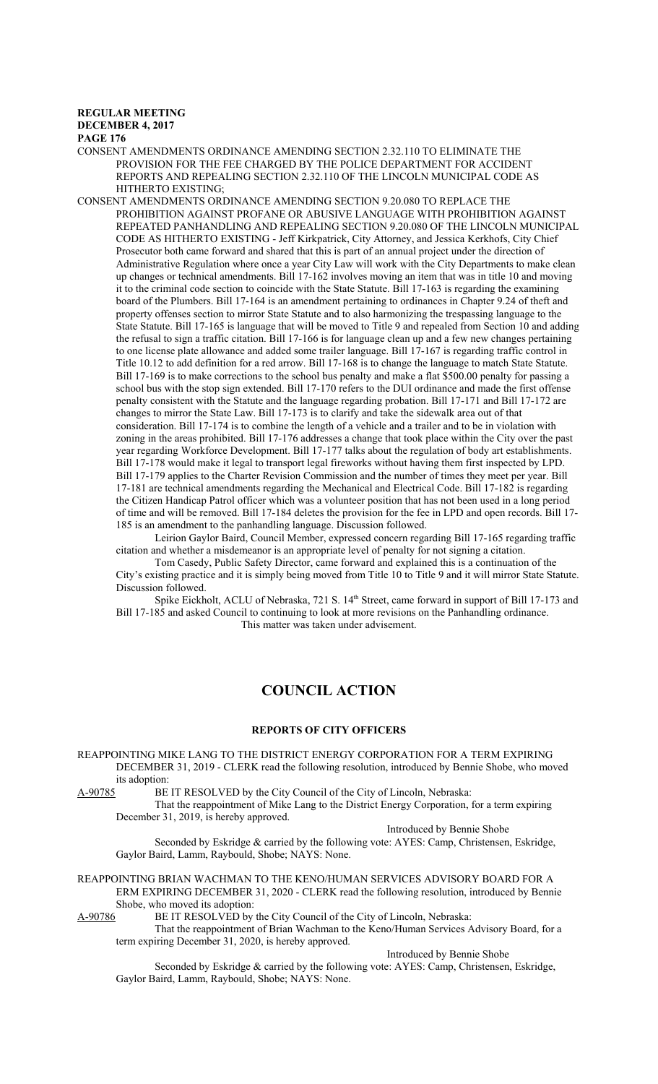#### **REGULAR MEETING DECEMBER 4, 2017**

**PAGE 176**

CONSENT AMENDMENTS ORDINANCE AMENDING SECTION 2.32.110 TO ELIMINATE THE PROVISION FOR THE FEE CHARGED BY THE POLICE DEPARTMENT FOR ACCIDENT REPORTS AND REPEALING SECTION 2.32.110 OF THE LINCOLN MUNICIPAL CODE AS HITHERTO EXISTING;

CONSENT AMENDMENTS ORDINANCE AMENDING SECTION 9.20.080 TO REPLACE THE PROHIBITION AGAINST PROFANE OR ABUSIVE LANGUAGE WITH PROHIBITION AGAINST REPEATED PANHANDLING AND REPEALING SECTION 9.20.080 OF THE LINCOLN MUNICIPAL CODE AS HITHERTO EXISTING - Jeff Kirkpatrick, City Attorney, and Jessica Kerkhofs, City Chief Prosecutor both came forward and shared that this is part of an annual project under the direction of Administrative Regulation where once a year City Law will work with the City Departments to make clean up changes or technical amendments. Bill 17-162 involves moving an item that was in title 10 and moving it to the criminal code section to coincide with the State Statute. Bill 17-163 is regarding the examining board of the Plumbers. Bill 17-164 is an amendment pertaining to ordinances in Chapter 9.24 of theft and property offenses section to mirror State Statute and to also harmonizing the trespassing language to the State Statute. Bill 17-165 is language that will be moved to Title 9 and repealed from Section 10 and adding the refusal to sign a traffic citation. Bill 17-166 is for language clean up and a few new changes pertaining to one license plate allowance and added some trailer language. Bill 17-167 is regarding traffic control in Title 10.12 to add definition for a red arrow. Bill 17-168 is to change the language to match State Statute. Bill 17-169 is to make corrections to the school bus penalty and make a flat \$500.00 penalty for passing a school bus with the stop sign extended. Bill 17-170 refers to the DUI ordinance and made the first offense penalty consistent with the Statute and the language regarding probation. Bill 17-171 and Bill 17-172 are changes to mirror the State Law. Bill 17-173 is to clarify and take the sidewalk area out of that consideration. Bill 17-174 is to combine the length of a vehicle and a trailer and to be in violation with zoning in the areas prohibited. Bill 17-176 addresses a change that took place within the City over the past year regarding Workforce Development. Bill 17-177 talks about the regulation of body art establishments. Bill 17-178 would make it legal to transport legal fireworks without having them first inspected by LPD. Bill 17-179 applies to the Charter Revision Commission and the number of times they meet per year. Bill 17-181 are technical amendments regarding the Mechanical and Electrical Code. Bill 17-182 is regarding the Citizen Handicap Patrol officer which was a volunteer position that has not been used in a long period of time and will be removed. Bill 17-184 deletes the provision for the fee in LPD and open records. Bill 17- 185 is an amendment to the panhandling language. Discussion followed.

Leirion Gaylor Baird, Council Member, expressed concern regarding Bill 17-165 regarding traffic citation and whether a misdemeanor is an appropriate level of penalty for not signing a citation.

Tom Casedy, Public Safety Director, came forward and explained this is a continuation of the City's existing practice and it is simply being moved from Title 10 to Title 9 and it will mirror State Statute. Discussion followed.

Spike Eickholt, ACLU of Nebraska, 721 S. 14<sup>th</sup> Street, came forward in support of Bill 17-173 and Bill 17-185 and asked Council to continuing to look at more revisions on the Panhandling ordinance. This matter was taken under advisement.

# **COUNCIL ACTION**

# **REPORTS OF CITY OFFICERS**

REAPPOINTING MIKE LANG TO THE DISTRICT ENERGY CORPORATION FOR A TERM EXPIRING DECEMBER 31, 2019 - CLERK read the following resolution, introduced by Bennie Shobe, who moved its adoption:<br>A-90785 BE

BE IT RESOLVED by the City Council of the City of Lincoln, Nebraska:

That the reappointment of Mike Lang to the District Energy Corporation, for a term expiring December 31, 2019, is hereby approved.

Introduced by Bennie Shobe

Seconded by Eskridge & carried by the following vote: AYES: Camp, Christensen, Eskridge, Gaylor Baird, Lamm, Raybould, Shobe; NAYS: None.

REAPPOINTING BRIAN WACHMAN TO THE KENO/HUMAN SERVICES ADVISORY BOARD FOR A ERM EXPIRING DECEMBER 31, 2020 - CLERK read the following resolution, introduced by Bennie Shobe, who moved its adoption:

A-90786 BE IT RESOLVED by the City Council of the City of Lincoln, Nebraska:

That the reappointment of Brian Wachman to the Keno/Human Services Advisory Board, for a term expiring December 31, 2020, is hereby approved.

Introduced by Bennie Shobe

Seconded by Eskridge & carried by the following vote: AYES: Camp, Christensen, Eskridge, Gaylor Baird, Lamm, Raybould, Shobe; NAYS: None.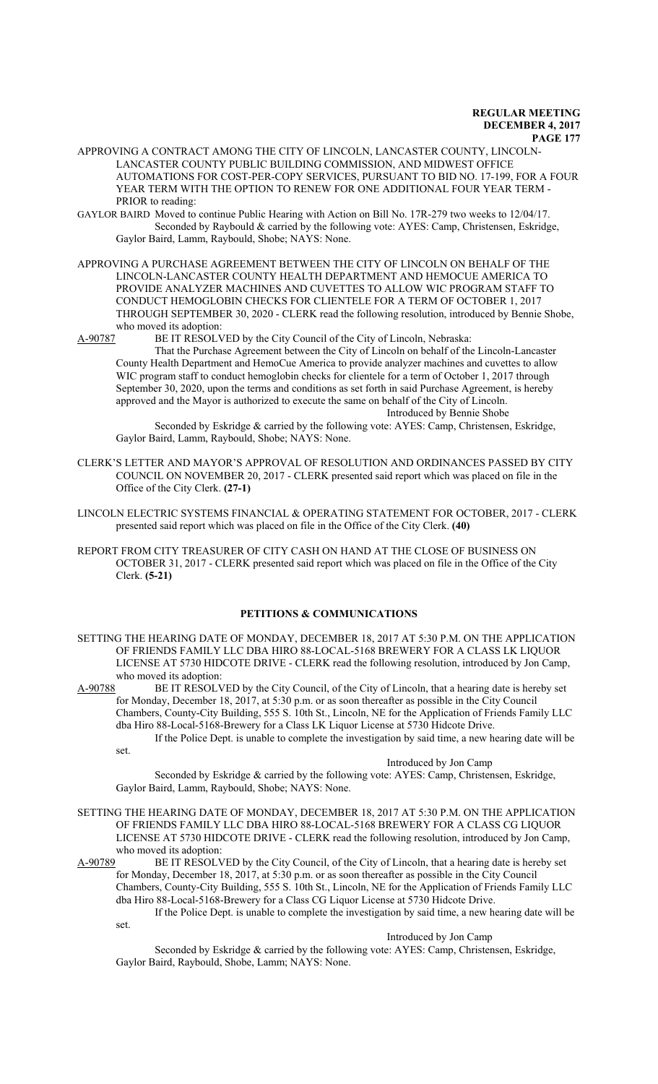- APPROVING A CONTRACT AMONG THE CITY OF LINCOLN, LANCASTER COUNTY, LINCOLN-LANCASTER COUNTY PUBLIC BUILDING COMMISSION, AND MIDWEST OFFICE AUTOMATIONS FOR COST-PER-COPY SERVICES, PURSUANT TO BID NO. 17-199, FOR A FOUR YEAR TERM WITH THE OPTION TO RENEW FOR ONE ADDITIONAL FOUR YEAR TERM - PRIOR to reading:
- GAYLOR BAIRD Moved to continue Public Hearing with Action on Bill No. 17R-279 two weeks to 12/04/17. Seconded by Raybould & carried by the following vote: AYES: Camp, Christensen, Eskridge, Gaylor Baird, Lamm, Raybould, Shobe; NAYS: None.
- APPROVING A PURCHASE AGREEMENT BETWEEN THE CITY OF LINCOLN ON BEHALF OF THE LINCOLN-LANCASTER COUNTY HEALTH DEPARTMENT AND HEMOCUE AMERICA TO PROVIDE ANALYZER MACHINES AND CUVETTES TO ALLOW WIC PROGRAM STAFF TO CONDUCT HEMOGLOBIN CHECKS FOR CLIENTELE FOR A TERM OF OCTOBER 1, 2017 THROUGH SEPTEMBER 30, 2020 - CLERK read the following resolution, introduced by Bennie Shobe, who moved its adoption:

A-90787 BE IT RESOLVED by the City Council of the City of Lincoln, Nebraska:

That the Purchase Agreement between the City of Lincoln on behalf of the Lincoln-Lancaster County Health Department and HemoCue America to provide analyzer machines and cuvettes to allow WIC program staff to conduct hemoglobin checks for clientele for a term of October 1, 2017 through September 30, 2020, upon the terms and conditions as set forth in said Purchase Agreement, is hereby approved and the Mayor is authorized to execute the same on behalf of the City of Lincoln. Introduced by Bennie Shobe

Seconded by Eskridge & carried by the following vote: AYES: Camp, Christensen, Eskridge, Gaylor Baird, Lamm, Raybould, Shobe; NAYS: None.

- CLERK'S LETTER AND MAYOR'S APPROVAL OF RESOLUTION AND ORDINANCES PASSED BY CITY COUNCIL ON NOVEMBER 20, 2017 - CLERK presented said report which was placed on file in the Office of the City Clerk. **(27-1)**
- LINCOLN ELECTRIC SYSTEMS FINANCIAL & OPERATING STATEMENT FOR OCTOBER, 2017 CLERK presented said report which was placed on file in the Office of the City Clerk. **(40)**
- REPORT FROM CITY TREASURER OF CITY CASH ON HAND AT THE CLOSE OF BUSINESS ON OCTOBER 31, 2017 - CLERK presented said report which was placed on file in the Office of the City Clerk. **(5-21)**

#### **PETITIONS & COMMUNICATIONS**

SETTING THE HEARING DATE OF MONDAY, DECEMBER 18, 2017 AT 5:30 P.M. ON THE APPLICATION OF FRIENDS FAMILY LLC DBA HIRO 88-LOCAL-5168 BREWERY FOR A CLASS LK LIQUOR LICENSE AT 5730 HIDCOTE DRIVE - CLERK read the following resolution, introduced by Jon Camp, who moved its adoption:

A-90788 BE IT RESOLVED by the City Council, of the City of Lincoln, that a hearing date is hereby set for Monday, December 18, 2017, at 5:30 p.m. or as soon thereafter as possible in the City Council Chambers, County-City Building, 555 S. 10th St., Lincoln, NE for the Application of Friends Family LLC dba Hiro 88-Local-5168-Brewery for a Class LK Liquor License at 5730 Hidcote Drive. If the Police Dept. is unable to complete the investigation by said time, a new hearing date will be

set.

#### Introduced by Jon Camp

Seconded by Eskridge & carried by the following vote: AYES: Camp, Christensen, Eskridge, Gaylor Baird, Lamm, Raybould, Shobe; NAYS: None.

SETTING THE HEARING DATE OF MONDAY, DECEMBER 18, 2017 AT 5:30 P.M. ON THE APPLICATION OF FRIENDS FAMILY LLC DBA HIRO 88-LOCAL-5168 BREWERY FOR A CLASS CG LIQUOR LICENSE AT 5730 HIDCOTE DRIVE - CLERK read the following resolution, introduced by Jon Camp, who moved its adoption:

A-90789 BE IT RESOLVED by the City Council, of the City of Lincoln, that a hearing date is hereby set for Monday, December 18, 2017, at 5:30 p.m. or as soon thereafter as possible in the City Council Chambers, County-City Building, 555 S. 10th St., Lincoln, NE for the Application of Friends Family LLC dba Hiro 88-Local-5168-Brewery for a Class CG Liquor License at 5730 Hidcote Drive.

If the Police Dept. is unable to complete the investigation by said time, a new hearing date will be set.

Introduced by Jon Camp

Seconded by Eskridge & carried by the following vote: AYES: Camp, Christensen, Eskridge, Gaylor Baird, Raybould, Shobe, Lamm; NAYS: None.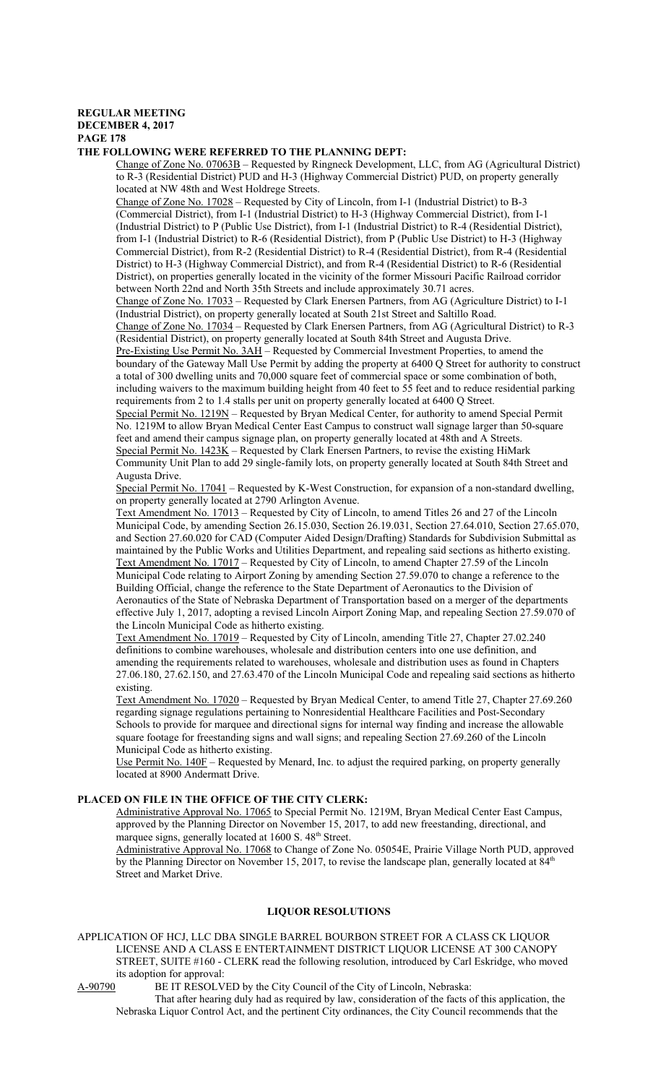# **REGULAR MEETING DECEMBER 4, 2017**

**PAGE 178**

#### **THE FOLLOWING WERE REFERRED TO THE PLANNING DEPT:**

Change of Zone No. 07063B – Requested by Ringneck Development, LLC, from AG (Agricultural District) to R-3 (Residential District) PUD and H-3 (Highway Commercial District) PUD, on property generally located at NW 48th and West Holdrege Streets.

Change of Zone No. 17028 – Requested by City of Lincoln, from I-1 (Industrial District) to B-3 (Commercial District), from I-1 (Industrial District) to H-3 (Highway Commercial District), from I-1 (Industrial District) to P (Public Use District), from I-1 (Industrial District) to R-4 (Residential District), from I-1 (Industrial District) to R-6 (Residential District), from P (Public Use District) to H-3 (Highway Commercial District), from R-2 (Residential District) to R-4 (Residential District), from R-4 (Residential District) to H-3 (Highway Commercial District), and from R-4 (Residential District) to R-6 (Residential District), on properties generally located in the vicinity of the former Missouri Pacific Railroad corridor between North 22nd and North 35th Streets and include approximately 30.71 acres.

Change of Zone No. 17033 – Requested by Clark Enersen Partners, from AG (Agriculture District) to I-1 (Industrial District), on property generally located at South 21st Street and Saltillo Road.

Change of Zone No. 17034 – Requested by Clark Enersen Partners, from AG (Agricultural District) to R-3 (Residential District), on property generally located at South 84th Street and Augusta Drive.

Pre-Existing Use Permit No. 3AH - Requested by Commercial Investment Properties, to amend the boundary of the Gateway Mall Use Permit by adding the property at 6400 Q Street for authority to construct a total of 300 dwelling units and 70,000 square feet of commercial space or some combination of both, including waivers to the maximum building height from 40 feet to 55 feet and to reduce residential parking requirements from 2 to 1.4 stalls per unit on property generally located at 6400 Q Street.

Special Permit No. 1219N – Requested by Bryan Medical Center, for authority to amend Special Permit No. 1219M to allow Bryan Medical Center East Campus to construct wall signage larger than 50-square feet and amend their campus signage plan, on property generally located at 48th and A Streets. Special Permit No.  $1423K$  – Requested by Clark Enersen Partners, to revise the existing HiMark Community Unit Plan to add 29 single-family lots, on property generally located at South 84th Street and Augusta Drive.

Special Permit No. 17041 – Requested by K-West Construction, for expansion of a non-standard dwelling, on property generally located at 2790 Arlington Avenue.

Text Amendment No. 17013 – Requested by City of Lincoln, to amend Titles 26 and 27 of the Lincoln Municipal Code, by amending Section 26.15.030, Section 26.19.031, Section 27.64.010, Section 27.65.070, and Section 27.60.020 for CAD (Computer Aided Design/Drafting) Standards for Subdivision Submittal as maintained by the Public Works and Utilities Department, and repealing said sections as hitherto existing. Text Amendment No. 17017 – Requested by City of Lincoln, to amend Chapter 27.59 of the Lincoln Municipal Code relating to Airport Zoning by amending Section 27.59.070 to change a reference to the Building Official, change the reference to the State Department of Aeronautics to the Division of Aeronautics of the State of Nebraska Department of Transportation based on a merger of the departments effective July 1, 2017, adopting a revised Lincoln Airport Zoning Map, and repealing Section 27.59.070 of the Lincoln Municipal Code as hitherto existing.

Text Amendment No. 17019 – Requested by City of Lincoln, amending Title 27, Chapter 27.02.240 definitions to combine warehouses, wholesale and distribution centers into one use definition, and amending the requirements related to warehouses, wholesale and distribution uses as found in Chapters 27.06.180, 27.62.150, and 27.63.470 of the Lincoln Municipal Code and repealing said sections as hitherto existing.

Text Amendment No. 17020 – Requested by Bryan Medical Center, to amend Title 27, Chapter 27.69.260 regarding signage regulations pertaining to Nonresidential Healthcare Facilities and Post-Secondary Schools to provide for marquee and directional signs for internal way finding and increase the allowable square footage for freestanding signs and wall signs; and repealing Section 27.69.260 of the Lincoln Municipal Code as hitherto existing.

Use Permit No. 140F - Requested by Menard, Inc. to adjust the required parking, on property generally located at 8900 Andermatt Drive.

## **PLACED ON FILE IN THE OFFICE OF THE CITY CLERK:**

Administrative Approval No. 17065 to Special Permit No. 1219M, Bryan Medical Center East Campus, approved by the Planning Director on November 15, 2017, to add new freestanding, directional, and marquee signs, generally located at 1600 S. 48<sup>th</sup> Street.

Administrative Approval No. 17068 to Change of Zone No. 05054E, Prairie Village North PUD, approved by the Planning Director on November 15, 2017, to revise the landscape plan, generally located at 84<sup>th</sup> Street and Market Drive.

# **LIQUOR RESOLUTIONS**

APPLICATION OF HCJ, LLC DBA SINGLE BARREL BOURBON STREET FOR A CLASS CK LIQUOR LICENSE AND A CLASS E ENTERTAINMENT DISTRICT LIQUOR LICENSE AT 300 CANOPY STREET, SUITE #160 - CLERK read the following resolution, introduced by Carl Eskridge, who moved its adoption for approval:

A-90790 BE IT RESOLVED by the City Council of the City of Lincoln, Nebraska:

That after hearing duly had as required by law, consideration of the facts of this application, the Nebraska Liquor Control Act, and the pertinent City ordinances, the City Council recommends that the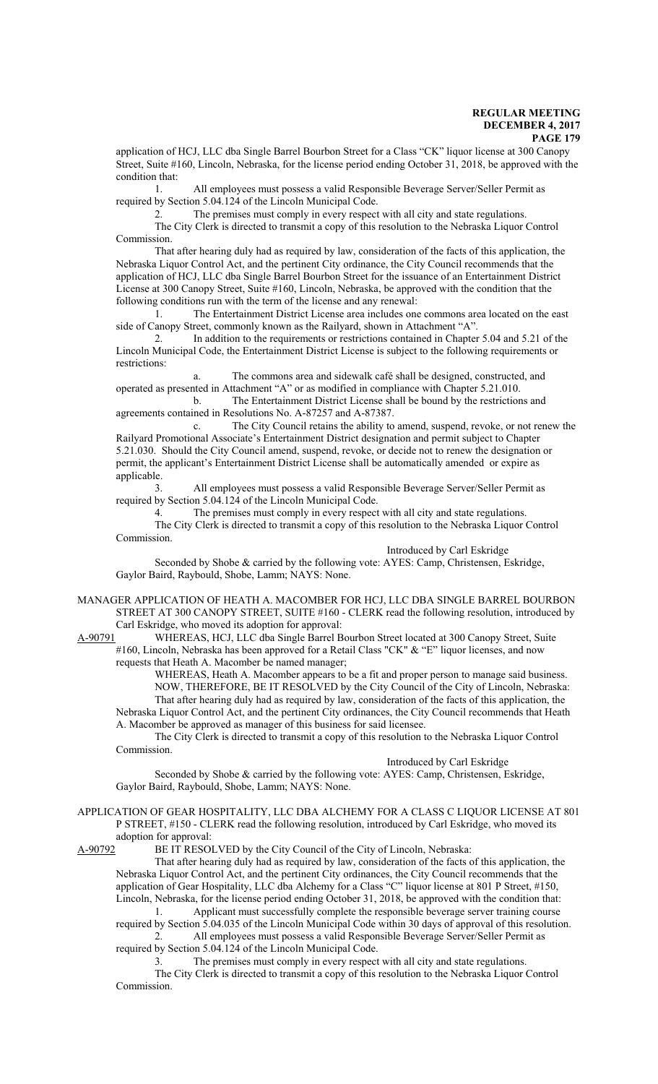application of HCJ, LLC dba Single Barrel Bourbon Street for a Class "CK" liquor license at 300 Canopy Street, Suite #160, Lincoln, Nebraska, for the license period ending October 31, 2018, be approved with the condition that:

1. All employees must possess a valid Responsible Beverage Server/Seller Permit as required by Section 5.04.124 of the Lincoln Municipal Code.

2. The premises must comply in every respect with all city and state regulations. The City Clerk is directed to transmit a copy of this resolution to the Nebraska Liquor Control

Commission. That after hearing duly had as required by law, consideration of the facts of this application, the Nebraska Liquor Control Act, and the pertinent City ordinance, the City Council recommends that the application of HCJ, LLC dba Single Barrel Bourbon Street for the issuance of an Entertainment District License at 300 Canopy Street, Suite #160, Lincoln, Nebraska, be approved with the condition that the following conditions run with the term of the license and any renewal:

1. The Entertainment District License area includes one commons area located on the east side of Canopy Street, commonly known as the Railyard, shown in Attachment "A".

2. In addition to the requirements or restrictions contained in Chapter 5.04 and 5.21 of the Lincoln Municipal Code, the Entertainment District License is subject to the following requirements or restrictions:

a. The commons area and sidewalk café shall be designed, constructed, and operated as presented in Attachment "A" or as modified in compliance with Chapter 5.21.010.

b. The Entertainment District License shall be bound by the restrictions and agreements contained in Resolutions No. A-87257 and A-87387.

c. The City Council retains the ability to amend, suspend, revoke, or not renew the Railyard Promotional Associate's Entertainment District designation and permit subject to Chapter 5.21.030. Should the City Council amend, suspend, revoke, or decide not to renew the designation or permit, the applicant's Entertainment District License shall be automatically amended or expire as applicable.

3. All employees must possess a valid Responsible Beverage Server/Seller Permit as required by Section 5.04.124 of the Lincoln Municipal Code.

4. The premises must comply in every respect with all city and state regulations.

The City Clerk is directed to transmit a copy of this resolution to the Nebraska Liquor Control Commission.

Introduced by Carl Eskridge

Seconded by Shobe & carried by the following vote: AYES: Camp, Christensen, Eskridge, Gaylor Baird, Raybould, Shobe, Lamm; NAYS: None.

MANAGER APPLICATION OF HEATH A. MACOMBER FOR HCJ, LLC DBA SINGLE BARREL BOURBON STREET AT 300 CANOPY STREET, SUITE #160 - CLERK read the following resolution, introduced by Carl Eskridge, who moved its adoption for approval:<br>A-90791 WHEREAS, HCJ, LLC dba Single Barrel B

WHEREAS, HCJ, LLC dba Single Barrel Bourbon Street located at 300 Canopy Street, Suite #160, Lincoln, Nebraska has been approved for a Retail Class "CK" & "E" liquor licenses, and now requests that Heath A. Macomber be named manager;

WHEREAS, Heath A. Macomber appears to be a fit and proper person to manage said business. NOW, THEREFORE, BE IT RESOLVED by the City Council of the City of Lincoln, Nebraska: That after hearing duly had as required by law, consideration of the facts of this application, the Nebraska Liquor Control Act, and the pertinent City ordinances, the City Council recommends that Heath A. Macomber be approved as manager of this business for said licensee.

The City Clerk is directed to transmit a copy of this resolution to the Nebraska Liquor Control Commission.

Introduced by Carl Eskridge

Seconded by Shobe & carried by the following vote: AYES: Camp, Christensen, Eskridge, Gaylor Baird, Raybould, Shobe, Lamm; NAYS: None.

APPLICATION OF GEAR HOSPITALITY, LLC DBA ALCHEMY FOR A CLASS C LIQUOR LICENSE AT 801 P STREET, #150 - CLERK read the following resolution, introduced by Carl Eskridge, who moved its adoption for approval:

A-90792 BE IT RESOLVED by the City Council of the City of Lincoln, Nebraska:

That after hearing duly had as required by law, consideration of the facts of this application, the Nebraska Liquor Control Act, and the pertinent City ordinances, the City Council recommends that the application of Gear Hospitality, LLC dba Alchemy for a Class "C" liquor license at 801 P Street, #150, Lincoln, Nebraska, for the license period ending October 31, 2018, be approved with the condition that:

1. Applicant must successfully complete the responsible beverage server training course required by Section 5.04.035 of the Lincoln Municipal Code within 30 days of approval of this resolution. 2. All employees must possess a valid Responsible Beverage Server/Seller Permit as

required by Section 5.04.124 of the Lincoln Municipal Code.

3. The premises must comply in every respect with all city and state regulations.

The City Clerk is directed to transmit a copy of this resolution to the Nebraska Liquor Control Commission.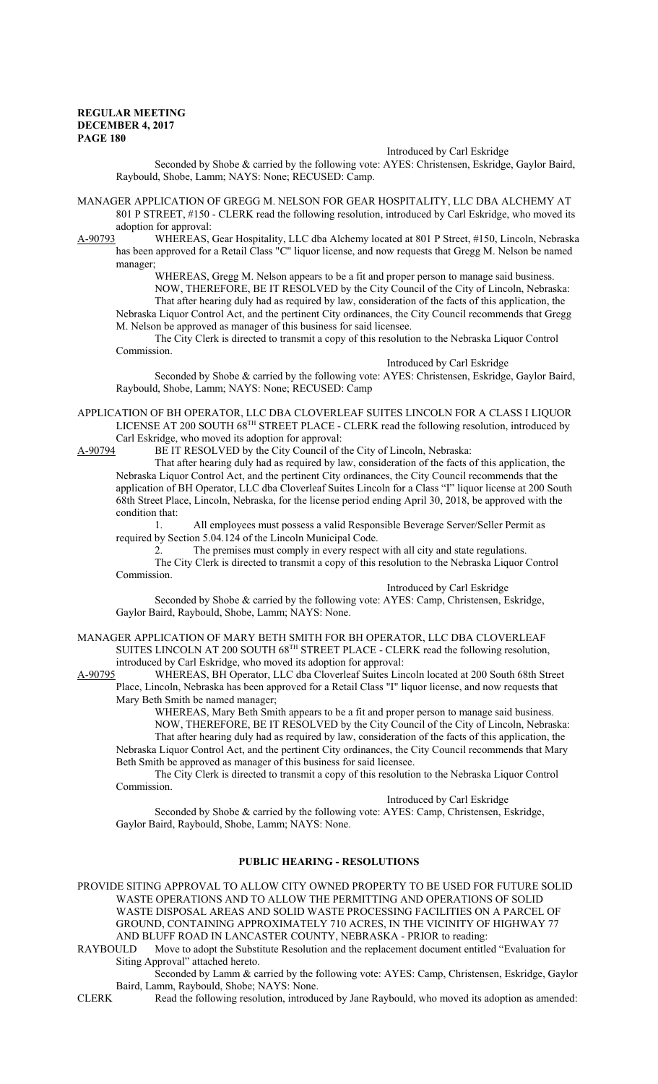#### Introduced by Carl Eskridge

Seconded by Shobe & carried by the following vote: AYES: Christensen, Eskridge, Gaylor Baird, Raybould, Shobe, Lamm; NAYS: None; RECUSED: Camp.

MANAGER APPLICATION OF GREGG M. NELSON FOR GEAR HOSPITALITY, LLC DBA ALCHEMY AT 801 P STREET, #150 - CLERK read the following resolution, introduced by Carl Eskridge, who moved its adoption for approval:

A-90793 WHEREAS, Gear Hospitality, LLC dba Alchemy located at 801 P Street, #150, Lincoln, Nebraska has been approved for a Retail Class "C" liquor license, and now requests that Gregg M. Nelson be named manager;

WHEREAS, Gregg M. Nelson appears to be a fit and proper person to manage said business. NOW, THEREFORE, BE IT RESOLVED by the City Council of the City of Lincoln, Nebraska: That after hearing duly had as required by law, consideration of the facts of this application, the Nebraska Liquor Control Act, and the pertinent City ordinances, the City Council recommends that Gregg

M. Nelson be approved as manager of this business for said licensee.

The City Clerk is directed to transmit a copy of this resolution to the Nebraska Liquor Control Commission.

#### Introduced by Carl Eskridge

Seconded by Shobe & carried by the following vote: AYES: Christensen, Eskridge, Gaylor Baird, Raybould, Shobe, Lamm; NAYS: None; RECUSED: Camp

APPLICATION OF BH OPERATOR, LLC DBA CLOVERLEAF SUITES LINCOLN FOR A CLASS I LIQUOR LICENSE AT 200 SOUTH 68<sup>TH</sup> STREET PLACE - CLERK read the following resolution, introduced by Carl Eskridge, who moved its adoption for approval:<br>A-90794 BE IT RESOLVED by the City Council of t

BE IT RESOLVED by the City Council of the City of Lincoln, Nebraska:

That after hearing duly had as required by law, consideration of the facts of this application, the Nebraska Liquor Control Act, and the pertinent City ordinances, the City Council recommends that the application of BH Operator, LLC dba Cloverleaf Suites Lincoln for a Class "I" liquor license at 200 South 68th Street Place, Lincoln, Nebraska, for the license period ending April 30, 2018, be approved with the condition that:

1. All employees must possess a valid Responsible Beverage Server/Seller Permit as required by Section 5.04.124 of the Lincoln Municipal Code.

2. The premises must comply in every respect with all city and state regulations.

The City Clerk is directed to transmit a copy of this resolution to the Nebraska Liquor Control Commission.

Introduced by Carl Eskridge

Seconded by Shobe & carried by the following vote: AYES: Camp, Christensen, Eskridge, Gaylor Baird, Raybould, Shobe, Lamm; NAYS: None.

MANAGER APPLICATION OF MARY BETH SMITH FOR BH OPERATOR, LLC DBA CLOVERLEAF SUITES LINCOLN AT 200 SOUTH 68<sup>TH</sup> STREET PLACE - CLERK read the following resolution, introduced by Carl Eskridge, who moved its adoption for approval:

A-90795 WHEREAS, BH Operator, LLC dba Cloverleaf Suites Lincoln located at 200 South 68th Street Place, Lincoln, Nebraska has been approved for a Retail Class "I" liquor license, and now requests that Mary Beth Smith be named manager;

WHEREAS, Mary Beth Smith appears to be a fit and proper person to manage said business.

NOW, THEREFORE, BE IT RESOLVED by the City Council of the City of Lincoln, Nebraska: That after hearing duly had as required by law, consideration of the facts of this application, the Nebraska Liquor Control Act, and the pertinent City ordinances, the City Council recommends that Mary Beth Smith be approved as manager of this business for said licensee.

The City Clerk is directed to transmit a copy of this resolution to the Nebraska Liquor Control Commission.

Introduced by Carl Eskridge

Seconded by Shobe & carried by the following vote: AYES: Camp, Christensen, Eskridge, Gaylor Baird, Raybould, Shobe, Lamm; NAYS: None.

# **PUBLIC HEARING - RESOLUTIONS**

PROVIDE SITING APPROVAL TO ALLOW CITY OWNED PROPERTY TO BE USED FOR FUTURE SOLID WASTE OPERATIONS AND TO ALLOW THE PERMITTING AND OPERATIONS OF SOLID WASTE DISPOSAL AREAS AND SOLID WASTE PROCESSING FACILITIES ON A PARCEL OF GROUND, CONTAINING APPROXIMATELY 710 ACRES, IN THE VICINITY OF HIGHWAY 77 AND BLUFF ROAD IN LANCASTER COUNTY, NEBRASKA - PRIOR to reading:<br>RAYBOULD Move to adopt the Substitute Resolution and the replacement document entitle

Move to adopt the Substitute Resolution and the replacement document entitled "Evaluation for Siting Approval" attached hereto.

Seconded by Lamm & carried by the following vote: AYES: Camp, Christensen, Eskridge, Gaylor Baird, Lamm, Raybould, Shobe; NAYS: None.

CLERK Read the following resolution, introduced by Jane Raybould, who moved its adoption as amended: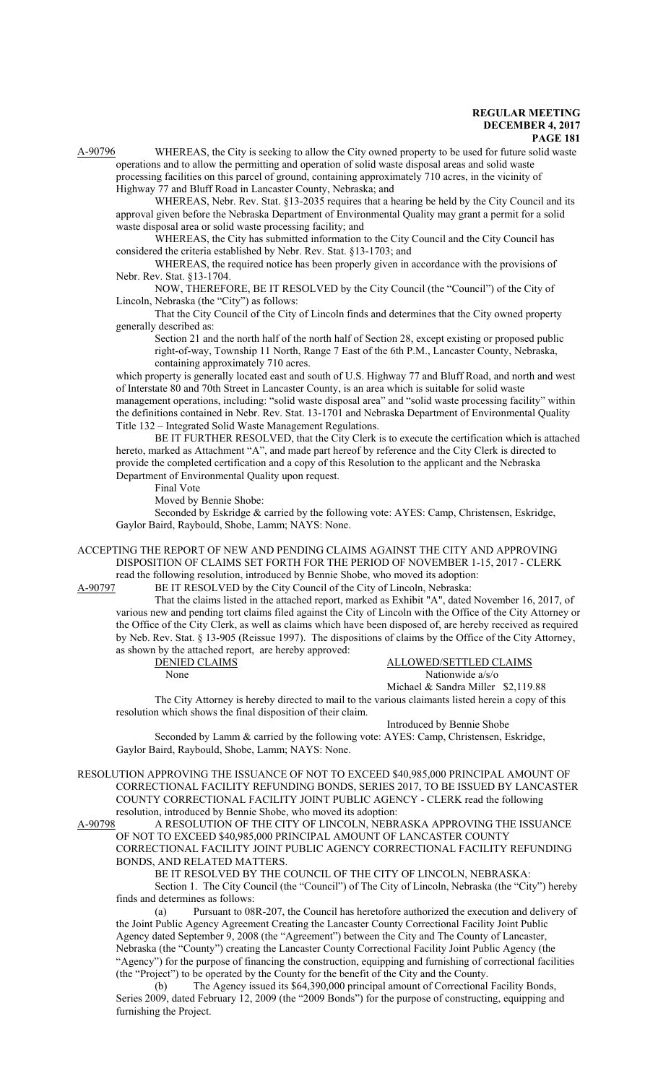A-90796 WHEREAS, the City is seeking to allow the City owned property to be used for future solid waste operations and to allow the permitting and operation of solid waste disposal areas and solid waste processing facilities on this parcel of ground, containing approximately 710 acres, in the vicinity of

Highway 77 and Bluff Road in Lancaster County, Nebraska; and

WHEREAS, Nebr. Rev. Stat. §13-2035 requires that a hearing be held by the City Council and its approval given before the Nebraska Department of Environmental Quality may grant a permit for a solid waste disposal area or solid waste processing facility; and

WHEREAS, the City has submitted information to the City Council and the City Council has considered the criteria established by Nebr. Rev. Stat. §13-1703; and

WHEREAS, the required notice has been properly given in accordance with the provisions of Nebr. Rev. Stat. §13-1704.

NOW, THEREFORE, BE IT RESOLVED by the City Council (the "Council") of the City of Lincoln, Nebraska (the "City") as follows:

That the City Council of the City of Lincoln finds and determines that the City owned property generally described as:

Section 21 and the north half of the north half of Section 28, except existing or proposed public right-of-way, Township 11 North, Range 7 East of the 6th P.M., Lancaster County, Nebraska, containing approximately 710 acres.

which property is generally located east and south of U.S. Highway 77 and Bluff Road, and north and west of Interstate 80 and 70th Street in Lancaster County, is an area which is suitable for solid waste management operations, including: "solid waste disposal area" and "solid waste processing facility" within the definitions contained in Nebr. Rev. Stat. 13-1701 and Nebraska Department of Environmental Quality Title 132 – Integrated Solid Waste Management Regulations.

BE IT FURTHER RESOLVED, that the City Clerk is to execute the certification which is attached hereto, marked as Attachment "A", and made part hereof by reference and the City Clerk is directed to provide the completed certification and a copy of this Resolution to the applicant and the Nebraska Department of Environmental Quality upon request.

Final Vote

Moved by Bennie Shobe:

Seconded by Eskridge & carried by the following vote: AYES: Camp, Christensen, Eskridge, Gaylor Baird, Raybould, Shobe, Lamm; NAYS: None.

ACCEPTING THE REPORT OF NEW AND PENDING CLAIMS AGAINST THE CITY AND APPROVING DISPOSITION OF CLAIMS SET FORTH FOR THE PERIOD OF NOVEMBER 1-15, 2017 - CLERK read the following resolution, introduced by Bennie Shobe, who moved its adoption:

A-90797 BE IT RESOLVED by the City Council of the City of Lincoln, Nebraska:

That the claims listed in the attached report, marked as Exhibit "A", dated November 16, 2017, of various new and pending tort claims filed against the City of Lincoln with the Office of the City Attorney or the Office of the City Clerk, as well as claims which have been disposed of, are hereby received as required by Neb. Rev. Stat. § 13-905 (Reissue 1997). The dispositions of claims by the Office of the City Attorney, as shown by the attached report, are hereby approved:

DENIED CLAIMS ALLOWED/SETTLED CLAIMS None Nationwide a/s/o Michael & Sandra Miller \$2,119.88

The City Attorney is hereby directed to mail to the various claimants listed herein a copy of this resolution which shows the final disposition of their claim.

Introduced by Bennie Shobe

Seconded by Lamm & carried by the following vote: AYES: Camp, Christensen, Eskridge, Gaylor Baird, Raybould, Shobe, Lamm; NAYS: None.

RESOLUTION APPROVING THE ISSUANCE OF NOT TO EXCEED \$40,985,000 PRINCIPAL AMOUNT OF CORRECTIONAL FACILITY REFUNDING BONDS, SERIES 2017, TO BE ISSUED BY LANCASTER COUNTY CORRECTIONAL FACILITY JOINT PUBLIC AGENCY - CLERK read the following resolution, introduced by Bennie Shobe, who moved its adoption:<br>A-90798 A RESOLUTION OF THE CITY OF LINCOLN, NEBR

A RESOLUTION OF THE CITY OF LINCOLN, NEBRASKA APPROVING THE ISSUANCE OF NOT TO EXCEED \$40,985,000 PRINCIPAL AMOUNT OF LANCASTER COUNTY CORRECTIONAL FACILITY JOINT PUBLIC AGENCY CORRECTIONAL FACILITY REFUNDING BONDS, AND RELATED MATTERS.

BE IT RESOLVED BY THE COUNCIL OF THE CITY OF LINCOLN, NEBRASKA:

Section 1. The City Council (the "Council") of The City of Lincoln, Nebraska (the "City") hereby finds and determines as follows:

(a) Pursuant to 08R-207, the Council has heretofore authorized the execution and delivery of the Joint Public Agency Agreement Creating the Lancaster County Correctional Facility Joint Public Agency dated September 9, 2008 (the "Agreement") between the City and The County of Lancaster, Nebraska (the "County") creating the Lancaster County Correctional Facility Joint Public Agency (the "Agency") for the purpose of financing the construction, equipping and furnishing of correctional facilities (the "Project") to be operated by the County for the benefit of the City and the County.

(b) The Agency issued its \$64,390,000 principal amount of Correctional Facility Bonds, Series 2009, dated February 12, 2009 (the "2009 Bonds") for the purpose of constructing, equipping and furnishing the Project.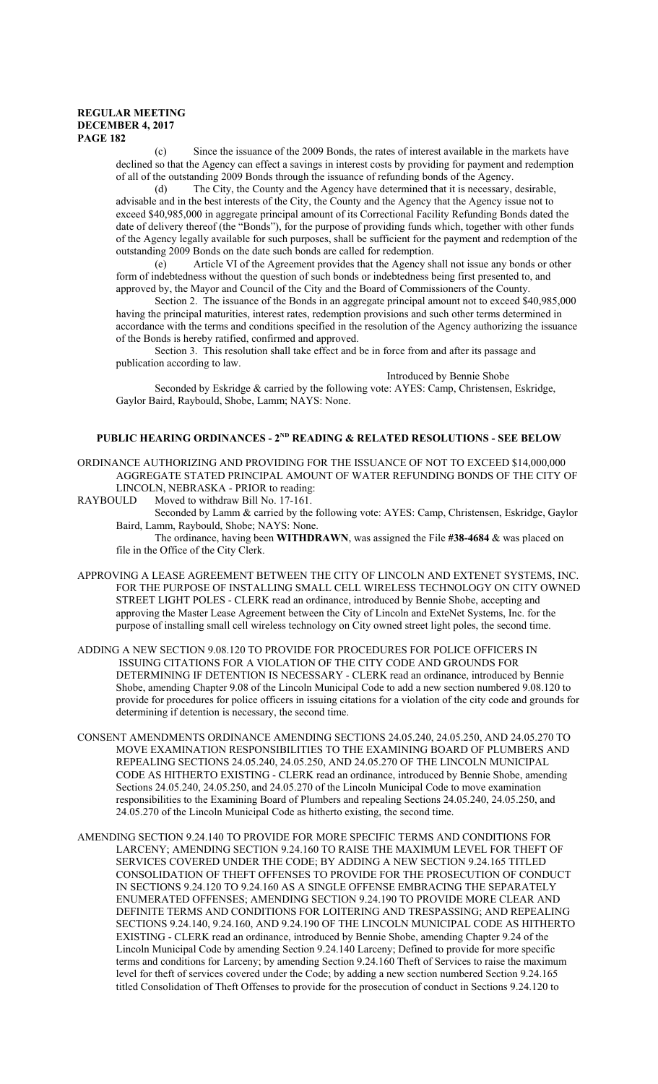(c) Since the issuance of the 2009 Bonds, the rates of interest available in the markets have declined so that the Agency can effect a savings in interest costs by providing for payment and redemption of all of the outstanding 2009 Bonds through the issuance of refunding bonds of the Agency.

(d) The City, the County and the Agency have determined that it is necessary, desirable, advisable and in the best interests of the City, the County and the Agency that the Agency issue not to exceed \$40,985,000 in aggregate principal amount of its Correctional Facility Refunding Bonds dated the date of delivery thereof (the "Bonds"), for the purpose of providing funds which, together with other funds of the Agency legally available for such purposes, shall be sufficient for the payment and redemption of the outstanding 2009 Bonds on the date such bonds are called for redemption.

(e) Article VI of the Agreement provides that the Agency shall not issue any bonds or other form of indebtedness without the question of such bonds or indebtedness being first presented to, and approved by, the Mayor and Council of the City and the Board of Commissioners of the County.

Section 2. The issuance of the Bonds in an aggregate principal amount not to exceed \$40,985,000 having the principal maturities, interest rates, redemption provisions and such other terms determined in accordance with the terms and conditions specified in the resolution of the Agency authorizing the issuance of the Bonds is hereby ratified, confirmed and approved.

Section 3. This resolution shall take effect and be in force from and after its passage and publication according to law.

Introduced by Bennie Shobe Seconded by Eskridge & carried by the following vote: AYES: Camp, Christensen, Eskridge, Gaylor Baird, Raybould, Shobe, Lamm; NAYS: None.

# **PUBLIC HEARING ORDINANCES - 2ND READING & RELATED RESOLUTIONS - SEE BELOW**

- ORDINANCE AUTHORIZING AND PROVIDING FOR THE ISSUANCE OF NOT TO EXCEED \$14,000,000 AGGREGATE STATED PRINCIPAL AMOUNT OF WATER REFUNDING BONDS OF THE CITY OF LINCOLN, NEBRASKA - PRIOR to reading:<br>RAYBOULD Moved to withdraw Bill No. 17-161.
- Moved to withdraw Bill No. 17-161.
	- Seconded by Lamm & carried by the following vote: AYES: Camp, Christensen, Eskridge, Gaylor Baird, Lamm, Raybould, Shobe; NAYS: None.

The ordinance, having been **WITHDRAWN**, was assigned the File **#38-4684** & was placed on file in the Office of the City Clerk.

- APPROVING A LEASE AGREEMENT BETWEEN THE CITY OF LINCOLN AND EXTENET SYSTEMS, INC. FOR THE PURPOSE OF INSTALLING SMALL CELL WIRELESS TECHNOLOGY ON CITY OWNED STREET LIGHT POLES - CLERK read an ordinance, introduced by Bennie Shobe, accepting and approving the Master Lease Agreement between the City of Lincoln and ExteNet Systems, Inc. for the purpose of installing small cell wireless technology on City owned street light poles, the second time.
- ADDING A NEW SECTION 9.08.120 TO PROVIDE FOR PROCEDURES FOR POLICE OFFICERS IN ISSUING CITATIONS FOR A VIOLATION OF THE CITY CODE AND GROUNDS FOR DETERMINING IF DETENTION IS NECESSARY - CLERK read an ordinance, introduced by Bennie Shobe, amending Chapter 9.08 of the Lincoln Municipal Code to add a new section numbered 9.08.120 to provide for procedures for police officers in issuing citations for a violation of the city code and grounds for determining if detention is necessary, the second time.
- CONSENT AMENDMENTS ORDINANCE AMENDING SECTIONS 24.05.240, 24.05.250, AND 24.05.270 TO MOVE EXAMINATION RESPONSIBILITIES TO THE EXAMINING BOARD OF PLUMBERS AND REPEALING SECTIONS 24.05.240, 24.05.250, AND 24.05.270 OF THE LINCOLN MUNICIPAL CODE AS HITHERTO EXISTING - CLERK read an ordinance, introduced by Bennie Shobe, amending Sections 24.05.240, 24.05.250, and 24.05.270 of the Lincoln Municipal Code to move examination responsibilities to the Examining Board of Plumbers and repealing Sections 24.05.240, 24.05.250, and 24.05.270 of the Lincoln Municipal Code as hitherto existing, the second time.
- AMENDING SECTION 9.24.140 TO PROVIDE FOR MORE SPECIFIC TERMS AND CONDITIONS FOR LARCENY; AMENDING SECTION 9.24.160 TO RAISE THE MAXIMUM LEVEL FOR THEFT OF SERVICES COVERED UNDER THE CODE; BY ADDING A NEW SECTION 9.24.165 TITLED CONSOLIDATION OF THEFT OFFENSES TO PROVIDE FOR THE PROSECUTION OF CONDUCT IN SECTIONS 9.24.120 TO 9.24.160 AS A SINGLE OFFENSE EMBRACING THE SEPARATELY ENUMERATED OFFENSES; AMENDING SECTION 9.24.190 TO PROVIDE MORE CLEAR AND DEFINITE TERMS AND CONDITIONS FOR LOITERING AND TRESPASSING; AND REPEALING SECTIONS 9.24.140, 9.24.160, AND 9.24.190 OF THE LINCOLN MUNICIPAL CODE AS HITHERTO EXISTING - CLERK read an ordinance, introduced by Bennie Shobe, amending Chapter 9.24 of the Lincoln Municipal Code by amending Section 9.24.140 Larceny; Defined to provide for more specific terms and conditions for Larceny; by amending Section 9.24.160 Theft of Services to raise the maximum level for theft of services covered under the Code; by adding a new section numbered Section 9.24.165 titled Consolidation of Theft Offenses to provide for the prosecution of conduct in Sections 9.24.120 to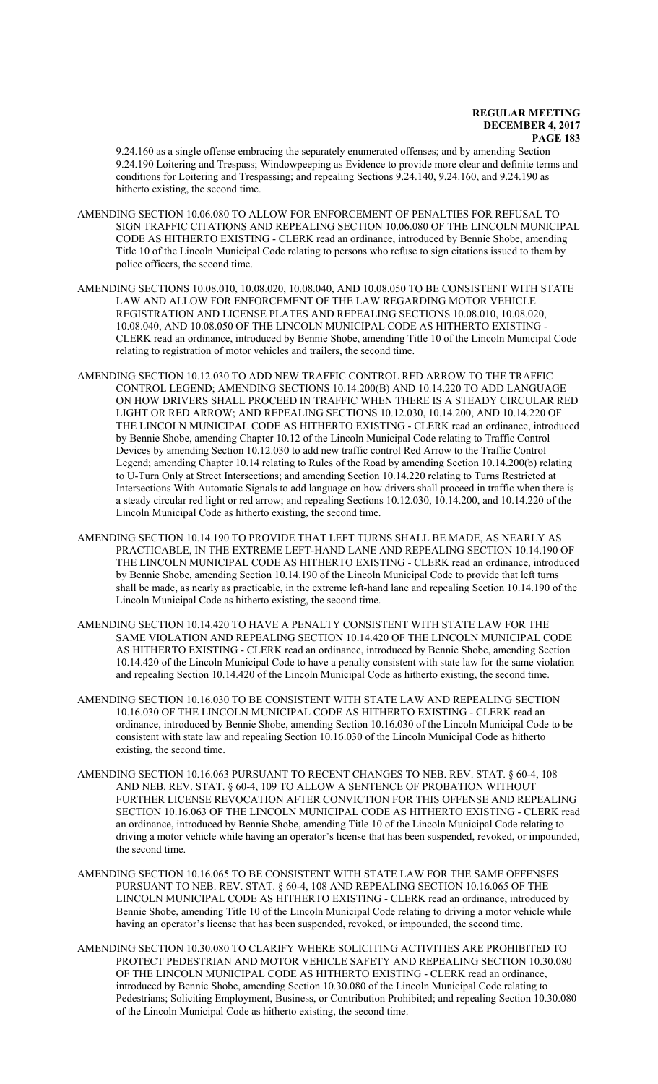9.24.160 as a single offense embracing the separately enumerated offenses; and by amending Section 9.24.190 Loitering and Trespass; Windowpeeping as Evidence to provide more clear and definite terms and conditions for Loitering and Trespassing; and repealing Sections 9.24.140, 9.24.160, and 9.24.190 as hitherto existing, the second time.

- AMENDING SECTION 10.06.080 TO ALLOW FOR ENFORCEMENT OF PENALTIES FOR REFUSAL TO SIGN TRAFFIC CITATIONS AND REPEALING SECTION 10.06.080 OF THE LINCOLN MUNICIPAL CODE AS HITHERTO EXISTING - CLERK read an ordinance, introduced by Bennie Shobe, amending Title 10 of the Lincoln Municipal Code relating to persons who refuse to sign citations issued to them by police officers, the second time.
- AMENDING SECTIONS 10.08.010, 10.08.020, 10.08.040, AND 10.08.050 TO BE CONSISTENT WITH STATE LAW AND ALLOW FOR ENFORCEMENT OF THE LAW REGARDING MOTOR VEHICLE REGISTRATION AND LICENSE PLATES AND REPEALING SECTIONS 10.08.010, 10.08.020, 10.08.040, AND 10.08.050 OF THE LINCOLN MUNICIPAL CODE AS HITHERTO EXISTING - CLERK read an ordinance, introduced by Bennie Shobe, amending Title 10 of the Lincoln Municipal Code relating to registration of motor vehicles and trailers, the second time.
- AMENDING SECTION 10.12.030 TO ADD NEW TRAFFIC CONTROL RED ARROW TO THE TRAFFIC CONTROL LEGEND; AMENDING SECTIONS 10.14.200(B) AND 10.14.220 TO ADD LANGUAGE ON HOW DRIVERS SHALL PROCEED IN TRAFFIC WHEN THERE IS A STEADY CIRCULAR RED LIGHT OR RED ARROW; AND REPEALING SECTIONS 10.12.030, 10.14.200, AND 10.14.220 OF THE LINCOLN MUNICIPAL CODE AS HITHERTO EXISTING - CLERK read an ordinance, introduced by Bennie Shobe, amending Chapter 10.12 of the Lincoln Municipal Code relating to Traffic Control Devices by amending Section 10.12.030 to add new traffic control Red Arrow to the Traffic Control Legend; amending Chapter 10.14 relating to Rules of the Road by amending Section 10.14.200(b) relating to U-Turn Only at Street Intersections; and amending Section 10.14.220 relating to Turns Restricted at Intersections With Automatic Signals to add language on how drivers shall proceed in traffic when there is a steady circular red light or red arrow; and repealing Sections 10.12.030, 10.14.200, and 10.14.220 of the Lincoln Municipal Code as hitherto existing, the second time.
- AMENDING SECTION 10.14.190 TO PROVIDE THAT LEFT TURNS SHALL BE MADE, AS NEARLY AS PRACTICABLE, IN THE EXTREME LEFT-HAND LANE AND REPEALING SECTION 10.14.190 OF THE LINCOLN MUNICIPAL CODE AS HITHERTO EXISTING - CLERK read an ordinance, introduced by Bennie Shobe, amending Section 10.14.190 of the Lincoln Municipal Code to provide that left turns shall be made, as nearly as practicable, in the extreme left-hand lane and repealing Section 10.14.190 of the Lincoln Municipal Code as hitherto existing, the second time.
- AMENDING SECTION 10.14.420 TO HAVE A PENALTY CONSISTENT WITH STATE LAW FOR THE SAME VIOLATION AND REPEALING SECTION 10.14.420 OF THE LINCOLN MUNICIPAL CODE AS HITHERTO EXISTING - CLERK read an ordinance, introduced by Bennie Shobe, amending Section 10.14.420 of the Lincoln Municipal Code to have a penalty consistent with state law for the same violation and repealing Section 10.14.420 of the Lincoln Municipal Code as hitherto existing, the second time.
- AMENDING SECTION 10.16.030 TO BE CONSISTENT WITH STATE LAW AND REPEALING SECTION 10.16.030 OF THE LINCOLN MUNICIPAL CODE AS HITHERTO EXISTING - CLERK read an ordinance, introduced by Bennie Shobe, amending Section 10.16.030 of the Lincoln Municipal Code to be consistent with state law and repealing Section 10.16.030 of the Lincoln Municipal Code as hitherto existing, the second time.
- AMENDING SECTION 10.16.063 PURSUANT TO RECENT CHANGES TO NEB. REV. STAT. § 60-4, 108 AND NEB. REV. STAT. § 60-4, 109 TO ALLOW A SENTENCE OF PROBATION WITHOUT FURTHER LICENSE REVOCATION AFTER CONVICTION FOR THIS OFFENSE AND REPEALING SECTION 10.16.063 OF THE LINCOLN MUNICIPAL CODE AS HITHERTO EXISTING - CLERK read an ordinance, introduced by Bennie Shobe, amending Title 10 of the Lincoln Municipal Code relating to driving a motor vehicle while having an operator's license that has been suspended, revoked, or impounded, the second time.
- AMENDING SECTION 10.16.065 TO BE CONSISTENT WITH STATE LAW FOR THE SAME OFFENSES PURSUANT TO NEB. REV. STAT. § 60-4, 108 AND REPEALING SECTION 10.16.065 OF THE LINCOLN MUNICIPAL CODE AS HITHERTO EXISTING - CLERK read an ordinance, introduced by Bennie Shobe, amending Title 10 of the Lincoln Municipal Code relating to driving a motor vehicle while having an operator's license that has been suspended, revoked, or impounded, the second time.
- AMENDING SECTION 10.30.080 TO CLARIFY WHERE SOLICITING ACTIVITIES ARE PROHIBITED TO PROTECT PEDESTRIAN AND MOTOR VEHICLE SAFETY AND REPEALING SECTION 10.30.080 OF THE LINCOLN MUNICIPAL CODE AS HITHERTO EXISTING - CLERK read an ordinance, introduced by Bennie Shobe, amending Section 10.30.080 of the Lincoln Municipal Code relating to Pedestrians; Soliciting Employment, Business, or Contribution Prohibited; and repealing Section 10.30.080 of the Lincoln Municipal Code as hitherto existing, the second time.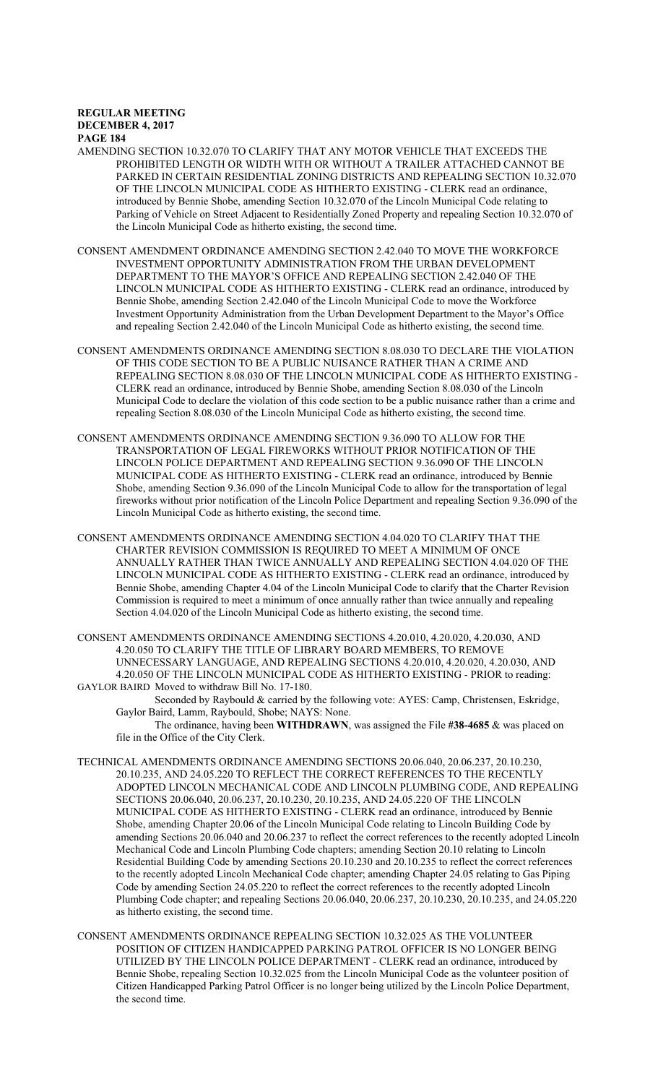- AMENDING SECTION 10.32.070 TO CLARIFY THAT ANY MOTOR VEHICLE THAT EXCEEDS THE PROHIBITED LENGTH OR WIDTH WITH OR WITHOUT A TRAILER ATTACHED CANNOT BE PARKED IN CERTAIN RESIDENTIAL ZONING DISTRICTS AND REPEALING SECTION 10.32.070 OF THE LINCOLN MUNICIPAL CODE AS HITHERTO EXISTING - CLERK read an ordinance, introduced by Bennie Shobe, amending Section 10.32.070 of the Lincoln Municipal Code relating to Parking of Vehicle on Street Adjacent to Residentially Zoned Property and repealing Section 10.32.070 of the Lincoln Municipal Code as hitherto existing, the second time.
- CONSENT AMENDMENT ORDINANCE AMENDING SECTION 2.42.040 TO MOVE THE WORKFORCE INVESTMENT OPPORTUNITY ADMINISTRATION FROM THE URBAN DEVELOPMENT DEPARTMENT TO THE MAYOR'S OFFICE AND REPEALING SECTION 2.42.040 OF THE LINCOLN MUNICIPAL CODE AS HITHERTO EXISTING - CLERK read an ordinance, introduced by Bennie Shobe, amending Section 2.42.040 of the Lincoln Municipal Code to move the Workforce Investment Opportunity Administration from the Urban Development Department to the Mayor's Office and repealing Section 2.42.040 of the Lincoln Municipal Code as hitherto existing, the second time.
- CONSENT AMENDMENTS ORDINANCE AMENDING SECTION 8.08.030 TO DECLARE THE VIOLATION OF THIS CODE SECTION TO BE A PUBLIC NUISANCE RATHER THAN A CRIME AND REPEALING SECTION 8.08.030 OF THE LINCOLN MUNICIPAL CODE AS HITHERTO EXISTING - CLERK read an ordinance, introduced by Bennie Shobe, amending Section 8.08.030 of the Lincoln Municipal Code to declare the violation of this code section to be a public nuisance rather than a crime and repealing Section 8.08.030 of the Lincoln Municipal Code as hitherto existing, the second time.
- CONSENT AMENDMENTS ORDINANCE AMENDING SECTION 9.36.090 TO ALLOW FOR THE TRANSPORTATION OF LEGAL FIREWORKS WITHOUT PRIOR NOTIFICATION OF THE LINCOLN POLICE DEPARTMENT AND REPEALING SECTION 9.36.090 OF THE LINCOLN MUNICIPAL CODE AS HITHERTO EXISTING - CLERK read an ordinance, introduced by Bennie Shobe, amending Section 9.36.090 of the Lincoln Municipal Code to allow for the transportation of legal fireworks without prior notification of the Lincoln Police Department and repealing Section 9.36.090 of the Lincoln Municipal Code as hitherto existing, the second time.
- CONSENT AMENDMENTS ORDINANCE AMENDING SECTION 4.04.020 TO CLARIFY THAT THE CHARTER REVISION COMMISSION IS REQUIRED TO MEET A MINIMUM OF ONCE ANNUALLY RATHER THAN TWICE ANNUALLY AND REPEALING SECTION 4.04.020 OF THE LINCOLN MUNICIPAL CODE AS HITHERTO EXISTING - CLERK read an ordinance, introduced by Bennie Shobe, amending Chapter 4.04 of the Lincoln Municipal Code to clarify that the Charter Revision Commission is required to meet a minimum of once annually rather than twice annually and repealing Section 4.04.020 of the Lincoln Municipal Code as hitherto existing, the second time.

CONSENT AMENDMENTS ORDINANCE AMENDING SECTIONS 4.20.010, 4.20.020, 4.20.030, AND 4.20.050 TO CLARIFY THE TITLE OF LIBRARY BOARD MEMBERS, TO REMOVE UNNECESSARY LANGUAGE, AND REPEALING SECTIONS 4.20.010, 4.20.020, 4.20.030, AND 4.20.050 OF THE LINCOLN MUNICIPAL CODE AS HITHERTO EXISTING - PRIOR to reading: GAYLOR BAIRD Moved to withdraw Bill No. 17-180.

Seconded by Raybould & carried by the following vote: AYES: Camp, Christensen, Eskridge, Gaylor Baird, Lamm, Raybould, Shobe; NAYS: None.

The ordinance, having been **WITHDRAWN**, was assigned the File **#38-4685** & was placed on file in the Office of the City Clerk.

- TECHNICAL AMENDMENTS ORDINANCE AMENDING SECTIONS 20.06.040, 20.06.237, 20.10.230, 20.10.235, AND 24.05.220 TO REFLECT THE CORRECT REFERENCES TO THE RECENTLY ADOPTED LINCOLN MECHANICAL CODE AND LINCOLN PLUMBING CODE, AND REPEALING SECTIONS 20.06.040, 20.06.237, 20.10.230, 20.10.235, AND 24.05.220 OF THE LINCOLN MUNICIPAL CODE AS HITHERTO EXISTING - CLERK read an ordinance, introduced by Bennie Shobe, amending Chapter 20.06 of the Lincoln Municipal Code relating to Lincoln Building Code by amending Sections 20.06.040 and 20.06.237 to reflect the correct references to the recently adopted Lincoln Mechanical Code and Lincoln Plumbing Code chapters; amending Section 20.10 relating to Lincoln Residential Building Code by amending Sections 20.10.230 and 20.10.235 to reflect the correct references to the recently adopted Lincoln Mechanical Code chapter; amending Chapter 24.05 relating to Gas Piping Code by amending Section 24.05.220 to reflect the correct references to the recently adopted Lincoln Plumbing Code chapter; and repealing Sections 20.06.040, 20.06.237, 20.10.230, 20.10.235, and 24.05.220 as hitherto existing, the second time.
- CONSENT AMENDMENTS ORDINANCE REPEALING SECTION 10.32.025 AS THE VOLUNTEER POSITION OF CITIZEN HANDICAPPED PARKING PATROL OFFICER IS NO LONGER BEING UTILIZED BY THE LINCOLN POLICE DEPARTMENT - CLERK read an ordinance, introduced by Bennie Shobe, repealing Section 10.32.025 from the Lincoln Municipal Code as the volunteer position of Citizen Handicapped Parking Patrol Officer is no longer being utilized by the Lincoln Police Department, the second time.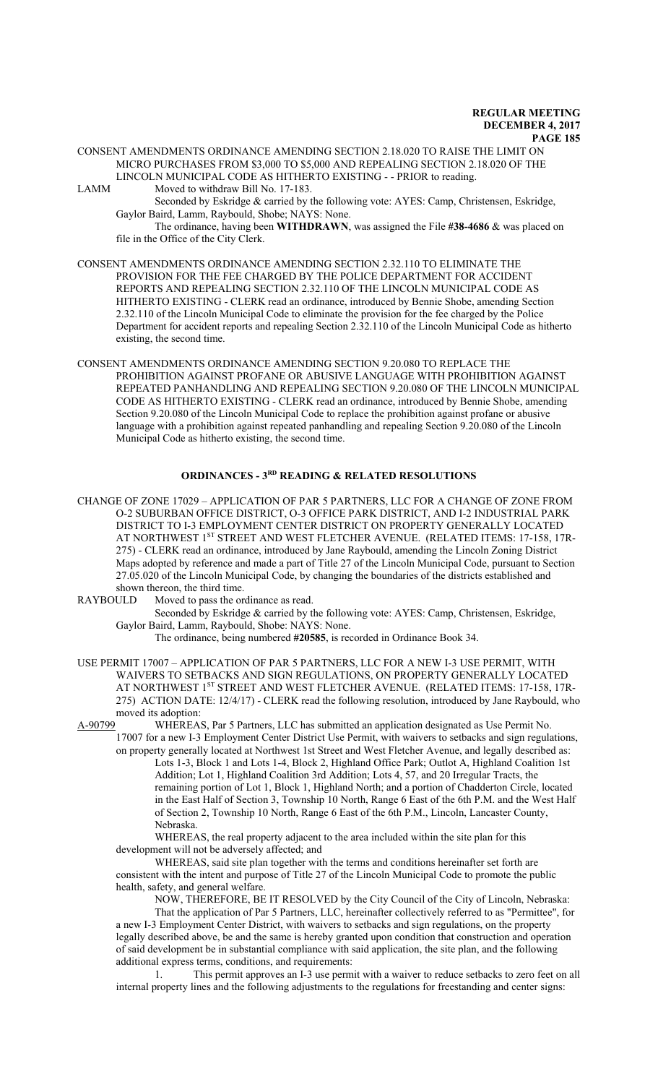CONSENT AMENDMENTS ORDINANCE AMENDING SECTION 2.18.020 TO RAISE THE LIMIT ON MICRO PURCHASES FROM \$3,000 TO \$5,000 AND REPEALING SECTION 2.18.020 OF THE LINCOLN MUNICIPAL CODE AS HITHERTO EXISTING - - PRIOR to reading. LAMM Moved to withdraw Bill No. 17-183.

Seconded by Eskridge & carried by the following vote: AYES: Camp, Christensen, Eskridge, Gaylor Baird, Lamm, Raybould, Shobe; NAYS: None.

The ordinance, having been **WITHDRAWN**, was assigned the File **#38-4686** & was placed on file in the Office of the City Clerk.

- CONSENT AMENDMENTS ORDINANCE AMENDING SECTION 2.32.110 TO ELIMINATE THE PROVISION FOR THE FEE CHARGED BY THE POLICE DEPARTMENT FOR ACCIDENT REPORTS AND REPEALING SECTION 2.32.110 OF THE LINCOLN MUNICIPAL CODE AS HITHERTO EXISTING - CLERK read an ordinance, introduced by Bennie Shobe, amending Section 2.32.110 of the Lincoln Municipal Code to eliminate the provision for the fee charged by the Police Department for accident reports and repealing Section 2.32.110 of the Lincoln Municipal Code as hitherto existing, the second time.
- CONSENT AMENDMENTS ORDINANCE AMENDING SECTION 9.20.080 TO REPLACE THE PROHIBITION AGAINST PROFANE OR ABUSIVE LANGUAGE WITH PROHIBITION AGAINST REPEATED PANHANDLING AND REPEALING SECTION 9.20.080 OF THE LINCOLN MUNICIPAL CODE AS HITHERTO EXISTING - CLERK read an ordinance, introduced by Bennie Shobe, amending Section 9.20.080 of the Lincoln Municipal Code to replace the prohibition against profane or abusive language with a prohibition against repeated panhandling and repealing Section 9.20.080 of the Lincoln Municipal Code as hitherto existing, the second time.

# **ORDINANCES - 3RD READING & RELATED RESOLUTIONS**

CHANGE OF ZONE 17029 – APPLICATION OF PAR 5 PARTNERS, LLC FOR A CHANGE OF ZONE FROM O-2 SUBURBAN OFFICE DISTRICT, O-3 OFFICE PARK DISTRICT, AND I-2 INDUSTRIAL PARK DISTRICT TO I-3 EMPLOYMENT CENTER DISTRICT ON PROPERTY GENERALLY LOCATED AT NORTHWEST 1<sup>ST</sup> STREET AND WEST FLETCHER AVENUE. (RELATED ITEMS: 17-158, 17R-275) - CLERK read an ordinance, introduced by Jane Raybould, amending the Lincoln Zoning District Maps adopted by reference and made a part of Title 27 of the Lincoln Municipal Code, pursuant to Section 27.05.020 of the Lincoln Municipal Code, by changing the boundaries of the districts established and shown thereon, the third time.

- RAYBOULD Moved to pass the ordinance as read.
	- Seconded by Eskridge & carried by the following vote: AYES: Camp, Christensen, Eskridge, Gaylor Baird, Lamm, Raybould, Shobe: NAYS: None.

The ordinance, being numbered **#20585**, is recorded in Ordinance Book 34.

USE PERMIT 17007 – APPLICATION OF PAR 5 PARTNERS, LLC FOR A NEW I-3 USE PERMIT, WITH WAIVERS TO SETBACKS AND SIGN REGULATIONS, ON PROPERTY GENERALLY LOCATED AT NORTHWEST 1<sup>ST</sup> STREET AND WEST FLETCHER AVENUE. (RELATED ITEMS: 17-158, 17R-275) ACTION DATE: 12/4/17) - CLERK read the following resolution, introduced by Jane Raybould, who moved its adoption:

A-90799 WHEREAS, Par 5 Partners, LLC has submitted an application designated as Use Permit No. 17007 for a new I-3 Employment Center District Use Permit, with waivers to setbacks and sign regulations,

on property generally located at Northwest 1st Street and West Fletcher Avenue, and legally described as: Lots 1-3, Block 1 and Lots 1-4, Block 2, Highland Office Park; Outlot A, Highland Coalition 1st Addition; Lot 1, Highland Coalition 3rd Addition; Lots 4, 57, and 20 Irregular Tracts, the remaining portion of Lot 1, Block 1, Highland North; and a portion of Chadderton Circle, located in the East Half of Section 3, Township 10 North, Range 6 East of the 6th P.M. and the West Half of Section 2, Township 10 North, Range 6 East of the 6th P.M., Lincoln, Lancaster County, Nebraska.

WHEREAS, the real property adjacent to the area included within the site plan for this development will not be adversely affected; and

WHEREAS, said site plan together with the terms and conditions hereinafter set forth are consistent with the intent and purpose of Title 27 of the Lincoln Municipal Code to promote the public health, safety, and general welfare.

NOW, THEREFORE, BE IT RESOLVED by the City Council of the City of Lincoln, Nebraska: That the application of Par 5 Partners, LLC, hereinafter collectively referred to as "Permittee", for a new I-3 Employment Center District, with waivers to setbacks and sign regulations, on the property legally described above, be and the same is hereby granted upon condition that construction and operation of said development be in substantial compliance with said application, the site plan, and the following additional express terms, conditions, and requirements:

1. This permit approves an I-3 use permit with a waiver to reduce setbacks to zero feet on all internal property lines and the following adjustments to the regulations for freestanding and center signs: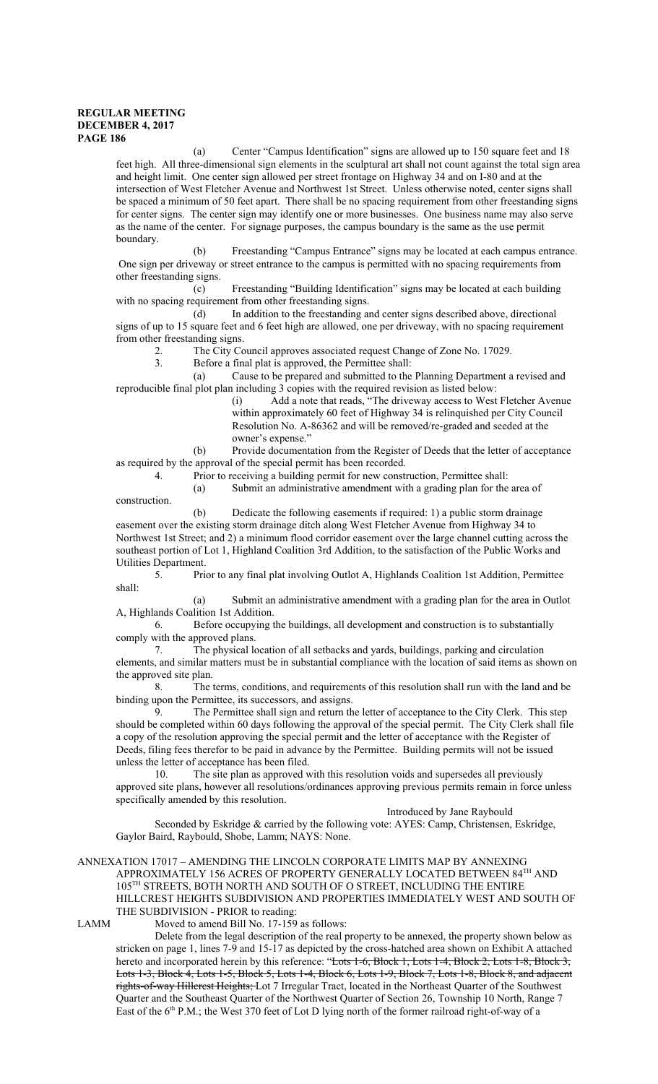construction.

(a) Center "Campus Identification" signs are allowed up to 150 square feet and 18 feet high. All three-dimensional sign elements in the sculptural art shall not count against the total sign area and height limit. One center sign allowed per street frontage on Highway 34 and on I-80 and at the intersection of West Fletcher Avenue and Northwest 1st Street. Unless otherwise noted, center signs shall be spaced a minimum of 50 feet apart. There shall be no spacing requirement from other freestanding signs for center signs. The center sign may identify one or more businesses. One business name may also serve as the name of the center. For signage purposes, the campus boundary is the same as the use permit boundary.

(b) Freestanding "Campus Entrance" signs may be located at each campus entrance. One sign per driveway or street entrance to the campus is permitted with no spacing requirements from other freestanding signs.

(c) Freestanding "Building Identification" signs may be located at each building with no spacing requirement from other freestanding signs.

(d) In addition to the freestanding and center signs described above, directional signs of up to 15 square feet and 6 feet high are allowed, one per driveway, with no spacing requirement from other freestanding signs.

2. The City Council approves associated request Change of Zone No. 17029.<br>3. Before a final plat is approved, the Permittee shall:

Before a final plat is approved, the Permittee shall:

(a) Cause to be prepared and submitted to the Planning Department a revised and reproducible final plot plan including 3 copies with the required revision as listed below:

(i) Add a note that reads, "The driveway access to West Fletcher Avenue within approximately 60 feet of Highway 34 is relinquished per City Council Resolution No. A-86362 and will be removed/re-graded and seeded at the owner's expense."

(b) Provide documentation from the Register of Deeds that the letter of acceptance as required by the approval of the special permit has been recorded.

4. Prior to receiving a building permit for new construction, Permittee shall:

(a) Submit an administrative amendment with a grading plan for the area of

(b) Dedicate the following easements if required: 1) a public storm drainage easement over the existing storm drainage ditch along West Fletcher Avenue from Highway 34 to Northwest 1st Street; and 2) a minimum flood corridor easement over the large channel cutting across the southeast portion of Lot 1, Highland Coalition 3rd Addition, to the satisfaction of the Public Works and Utilities Department.

5. Prior to any final plat involving Outlot A, Highlands Coalition 1st Addition, Permittee shall:

(a) Submit an administrative amendment with a grading plan for the area in Outlot A, Highlands Coalition 1st Addition.

6. Before occupying the buildings, all development and construction is to substantially comply with the approved plans.

7. The physical location of all setbacks and yards, buildings, parking and circulation elements, and similar matters must be in substantial compliance with the location of said items as shown on the approved site plan.

8. The terms, conditions, and requirements of this resolution shall run with the land and be binding upon the Permittee, its successors, and assigns.

9. The Permittee shall sign and return the letter of acceptance to the City Clerk. This step should be completed within 60 days following the approval of the special permit. The City Clerk shall file a copy of the resolution approving the special permit and the letter of acceptance with the Register of Deeds, filing fees therefor to be paid in advance by the Permittee. Building permits will not be issued unless the letter of acceptance has been filed.

10. The site plan as approved with this resolution voids and supersedes all previously approved site plans, however all resolutions/ordinances approving previous permits remain in force unless specifically amended by this resolution.

Introduced by Jane Raybould

Seconded by Eskridge & carried by the following vote: AYES: Camp, Christensen, Eskridge, Gaylor Baird, Raybould, Shobe, Lamm; NAYS: None.

# ANNEXATION 17017 – AMENDING THE LINCOLN CORPORATE LIMITS MAP BY ANNEXING APPROXIMATELY 156 ACRES OF PROPERTY GENERALLY LOCATED BETWEEN 84TH AND 105TH STREETS, BOTH NORTH AND SOUTH OF O STREET, INCLUDING THE ENTIRE HILLCREST HEIGHTS SUBDIVISION AND PROPERTIES IMMEDIATELY WEST AND SOUTH OF THE SUBDIVISION - PRIOR to reading:

LAMM Moved to amend Bill No. 17-159 as follows:

Delete from the legal description of the real property to be annexed, the property shown below as stricken on page 1, lines 7-9 and 15-17 as depicted by the cross-hatched area shown on Exhibit A attached hereto and incorporated herein by this reference: "Lots 1-6, Block 1, Lots 1-4, Block 2, Lots 1-8, Block 3, Lots 1-3, Block 4, Lots 1-5, Block 5, Lots 1-4, Block 6, Lots 1-9, Block 7, Lots 1-8, Block 8, and adjacent rights-of-way Hillcrest Heights; Lot 7 Irregular Tract, located in the Northeast Quarter of the Southwest Quarter and the Southeast Quarter of the Northwest Quarter of Section 26, Township 10 North, Range 7 East of the 6<sup>th</sup> P.M.; the West 370 feet of Lot D lying north of the former railroad right-of-way of a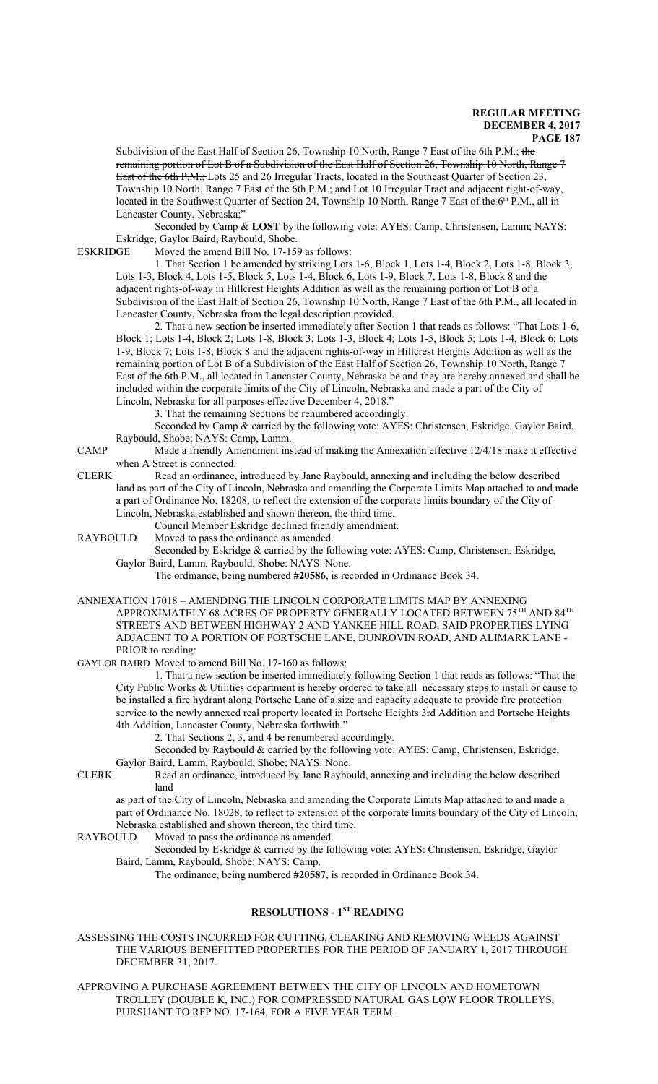Subdivision of the East Half of Section 26, Township 10 North, Range 7 East of the 6th P.M.; the remaining portion of Lot B of a Subdivision of the East Half of Section 26, Township 10 North, Range 7 East of the 6th P.M.; Lots 25 and 26 Irregular Tracts, located in the Southeast Quarter of Section 23, Township 10 North, Range 7 East of the 6th P.M.; and Lot 10 Irregular Tract and adjacent right-of-way, located in the Southwest Quarter of Section 24, Township 10 North, Range 7 East of the 6<sup>th</sup> P.M., all in Lancaster County, Nebraska;"

Seconded by Camp & **LOST** by the following vote: AYES: Camp, Christensen, Lamm; NAYS: Eskridge, Gaylor Baird, Raybould, Shobe.<br>ESKRIDGE Moved the amend Bill No. 17-15

Moved the amend Bill No.  $17-159$  as follows:

1. That Section 1 be amended by striking Lots 1-6, Block 1, Lots 1-4, Block 2, Lots 1-8, Block 3, Lots 1-3, Block 4, Lots 1-5, Block 5, Lots 1-4, Block 6, Lots 1-9, Block 7, Lots 1-8, Block 8 and the adjacent rights-of-way in Hillcrest Heights Addition as well as the remaining portion of Lot B of a Subdivision of the East Half of Section 26, Township 10 North, Range 7 East of the 6th P.M., all located in Lancaster County, Nebraska from the legal description provided.

2. That a new section be inserted immediately after Section 1 that reads as follows: "That Lots 1-6, Block 1; Lots 1-4, Block 2; Lots 1-8, Block 3; Lots 1-3, Block 4; Lots 1-5, Block 5; Lots 1-4, Block 6; Lots 1-9, Block 7; Lots 1-8, Block 8 and the adjacent rights-of-way in Hillcrest Heights Addition as well as the remaining portion of Lot B of a Subdivision of the East Half of Section 26, Township 10 North, Range 7 East of the 6th P.M., all located in Lancaster County, Nebraska be and they are hereby annexed and shall be included within the corporate limits of the City of Lincoln, Nebraska and made a part of the City of Lincoln, Nebraska for all purposes effective December 4, 2018."

3. That the remaining Sections be renumbered accordingly.

Seconded by Camp & carried by the following vote: AYES: Christensen, Eskridge, Gaylor Baird, Raybould, Shobe; NAYS: Camp, Lamm.

CAMP Made a friendly Amendment instead of making the Annexation effective 12/4/18 make it effective when A Street is connected.

CLERK Read an ordinance, introduced by Jane Raybould, annexing and including the below described land as part of the City of Lincoln, Nebraska and amending the Corporate Limits Map attached to and made a part of Ordinance No. 18208, to reflect the extension of the corporate limits boundary of the City of Lincoln, Nebraska established and shown thereon, the third time.

Council Member Eskridge declined friendly amendment.

RAYBOULD Moved to pass the ordinance as amended.

Seconded by Eskridge & carried by the following vote: AYES: Camp, Christensen, Eskridge, Gaylor Baird, Lamm, Raybould, Shobe: NAYS: None.

The ordinance, being numbered **#20586**, is recorded in Ordinance Book 34.

ANNEXATION 17018 – AMENDING THE LINCOLN CORPORATE LIMITS MAP BY ANNEXING APPROXIMATELY 68 ACRES OF PROPERTY GENERALLY LOCATED BETWEEN  $75^{\text{TH}}$  AND  $84^{\text{TH}}$ STREETS AND BETWEEN HIGHWAY 2 AND YANKEE HILL ROAD, SAID PROPERTIES LYING ADJACENT TO A PORTION OF PORTSCHE LANE, DUNROVIN ROAD, AND ALIMARK LANE - PRIOR to reading:

GAYLOR BAIRD Moved to amend Bill No. 17-160 as follows:

1. That a new section be inserted immediately following Section 1 that reads as follows: "That the City Public Works & Utilities department is hereby ordered to take all necessary steps to install or cause to be installed a fire hydrant along Portsche Lane of a size and capacity adequate to provide fire protection service to the newly annexed real property located in Portsche Heights 3rd Addition and Portsche Heights 4th Addition, Lancaster County, Nebraska forthwith."

2. That Sections 2, 3, and 4 be renumbered accordingly.

Seconded by Raybould & carried by the following vote: AYES: Camp, Christensen, Eskridge, Gaylor Baird, Lamm, Raybould, Shobe; NAYS: None.

CLERK Read an ordinance, introduced by Jane Raybould, annexing and including the below described land

as part of the City of Lincoln, Nebraska and amending the Corporate Limits Map attached to and made a part of Ordinance No. 18028, to reflect to extension of the corporate limits boundary of the City of Lincoln, Nebraska established and shown thereon, the third time.

RAYBOULD Moved to pass the ordinance as amended.

Seconded by Eskridge & carried by the following vote: AYES: Christensen, Eskridge, Gaylor Baird, Lamm, Raybould, Shobe: NAYS: Camp.

The ordinance, being numbered **#20587**, is recorded in Ordinance Book 34.

# **RESOLUTIONS - 1ST READING**

ASSESSING THE COSTS INCURRED FOR CUTTING, CLEARING AND REMOVING WEEDS AGAINST THE VARIOUS BENEFITTED PROPERTIES FOR THE PERIOD OF JANUARY 1, 2017 THROUGH DECEMBER 31, 2017.

APPROVING A PURCHASE AGREEMENT BETWEEN THE CITY OF LINCOLN AND HOMETOWN TROLLEY (DOUBLE K, INC.) FOR COMPRESSED NATURAL GAS LOW FLOOR TROLLEYS, PURSUANT TO RFP NO. 17-164, FOR A FIVE YEAR TERM.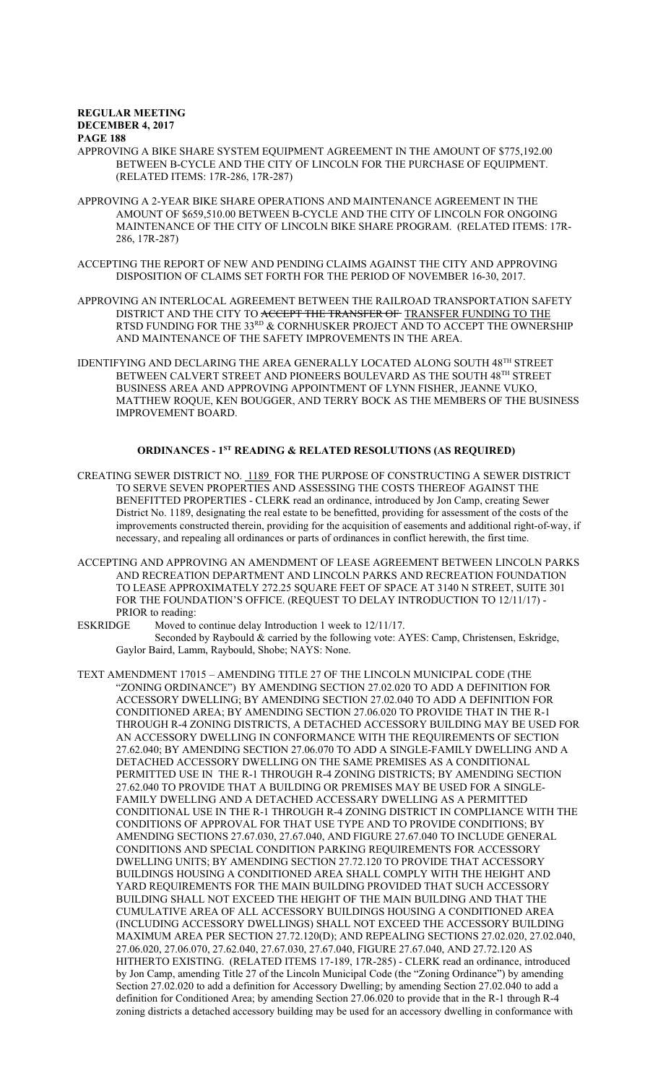- APPROVING A BIKE SHARE SYSTEM EQUIPMENT AGREEMENT IN THE AMOUNT OF \$775,192.00 BETWEEN B-CYCLE AND THE CITY OF LINCOLN FOR THE PURCHASE OF EQUIPMENT. (RELATED ITEMS: 17R-286, 17R-287)
- APPROVING A 2-YEAR BIKE SHARE OPERATIONS AND MAINTENANCE AGREEMENT IN THE AMOUNT OF \$659,510.00 BETWEEN B-CYCLE AND THE CITY OF LINCOLN FOR ONGOING MAINTENANCE OF THE CITY OF LINCOLN BIKE SHARE PROGRAM. (RELATED ITEMS: 17R-286, 17R-287)
- ACCEPTING THE REPORT OF NEW AND PENDING CLAIMS AGAINST THE CITY AND APPROVING DISPOSITION OF CLAIMS SET FORTH FOR THE PERIOD OF NOVEMBER 16-30, 2017.
- APPROVING AN INTERLOCAL AGREEMENT BETWEEN THE RAILROAD TRANSPORTATION SAFETY DISTRICT AND THE CITY TO ACCEPT THE TRANSFER OF TRANSFER FUNDING TO THE RTSD FUNDING FOR THE  $33^{RD}$  & CORNHUSKER PROJECT AND TO ACCEPT THE OWNERSHIP AND MAINTENANCE OF THE SAFETY IMPROVEMENTS IN THE AREA.
- IDENTIFYING AND DECLARING THE AREA GENERALLY LOCATED ALONG SOUTH 48TH STREET BETWEEN CALVERT STREET AND PIONEERS BOULEVARD AS THE SOUTH 48TH STREET BUSINESS AREA AND APPROVING APPOINTMENT OF LYNN FISHER, JEANNE VUKO, MATTHEW ROQUE, KEN BOUGGER, AND TERRY BOCK AS THE MEMBERS OF THE BUSINESS IMPROVEMENT BOARD.

# **ORDINANCES - 1ST READING & RELATED RESOLUTIONS (AS REQUIRED)**

- CREATING SEWER DISTRICT NO. 1189 FOR THE PURPOSE OF CONSTRUCTING A SEWER DISTRICT TO SERVE SEVEN PROPERTIES AND ASSESSING THE COSTS THEREOF AGAINST THE BENEFITTED PROPERTIES - CLERK read an ordinance, introduced by Jon Camp, creating Sewer District No. 1189, designating the real estate to be benefitted, providing for assessment of the costs of the improvements constructed therein, providing for the acquisition of easements and additional right-of-way, if necessary, and repealing all ordinances or parts of ordinances in conflict herewith, the first time.
- ACCEPTING AND APPROVING AN AMENDMENT OF LEASE AGREEMENT BETWEEN LINCOLN PARKS AND RECREATION DEPARTMENT AND LINCOLN PARKS AND RECREATION FOUNDATION TO LEASE APPROXIMATELY 272.25 SQUARE FEET OF SPACE AT 3140 N STREET, SUITE 301 FOR THE FOUNDATION'S OFFICE. (REQUEST TO DELAY INTRODUCTION TO 12/11/17) - PRIOR to reading:
- ESKRIDGE Moved to continue delay Introduction 1 week to 12/11/17. Seconded by Raybould & carried by the following vote: AYES: Camp, Christensen, Eskridge, Gaylor Baird, Lamm, Raybould, Shobe; NAYS: None.
- TEXT AMENDMENT 17015 AMENDING TITLE 27 OF THE LINCOLN MUNICIPAL CODE (THE "ZONING ORDINANCE") BY AMENDING SECTION 27.02.020 TO ADD A DEFINITION FOR ACCESSORY DWELLING; BY AMENDING SECTION 27.02.040 TO ADD A DEFINITION FOR CONDITIONED AREA; BY AMENDING SECTION 27.06.020 TO PROVIDE THAT IN THE R-1 THROUGH R-4 ZONING DISTRICTS, A DETACHED ACCESSORY BUILDING MAY BE USED FOR AN ACCESSORY DWELLING IN CONFORMANCE WITH THE REQUIREMENTS OF SECTION 27.62.040; BY AMENDING SECTION 27.06.070 TO ADD A SINGLE-FAMILY DWELLING AND A DETACHED ACCESSORY DWELLING ON THE SAME PREMISES AS A CONDITIONAL PERMITTED USE IN THE R-1 THROUGH R-4 ZONING DISTRICTS; BY AMENDING SECTION 27.62.040 TO PROVIDE THAT A BUILDING OR PREMISES MAY BE USED FOR A SINGLE-FAMILY DWELLING AND A DETACHED ACCESSARY DWELLING AS A PERMITTED CONDITIONAL USE IN THE R-1 THROUGH R-4 ZONING DISTRICT IN COMPLIANCE WITH THE CONDITIONS OF APPROVAL FOR THAT USE TYPE AND TO PROVIDE CONDITIONS; BY AMENDING SECTIONS 27.67.030, 27.67.040, AND FIGURE 27.67.040 TO INCLUDE GENERAL CONDITIONS AND SPECIAL CONDITION PARKING REQUIREMENTS FOR ACCESSORY DWELLING UNITS; BY AMENDING SECTION 27.72.120 TO PROVIDE THAT ACCESSORY BUILDINGS HOUSING A CONDITIONED AREA SHALL COMPLY WITH THE HEIGHT AND YARD REQUIREMENTS FOR THE MAIN BUILDING PROVIDED THAT SUCH ACCESSORY BUILDING SHALL NOT EXCEED THE HEIGHT OF THE MAIN BUILDING AND THAT THE CUMULATIVE AREA OF ALL ACCESSORY BUILDINGS HOUSING A CONDITIONED AREA (INCLUDING ACCESSORY DWELLINGS) SHALL NOT EXCEED THE ACCESSORY BUILDING MAXIMUM AREA PER SECTION 27.72.120(D); AND REPEALING SECTIONS 27.02.020, 27.02.040, 27.06.020, 27.06.070, 27.62.040, 27.67.030, 27.67.040, FIGURE 27.67.040, AND 27.72.120 AS HITHERTO EXISTING. (RELATED ITEMS 17-189, 17R-285) - CLERK read an ordinance, introduced by Jon Camp, amending Title 27 of the Lincoln Municipal Code (the "Zoning Ordinance") by amending Section 27.02.020 to add a definition for Accessory Dwelling; by amending Section 27.02.040 to add a definition for Conditioned Area; by amending Section 27.06.020 to provide that in the R-1 through R-4 zoning districts a detached accessory building may be used for an accessory dwelling in conformance with